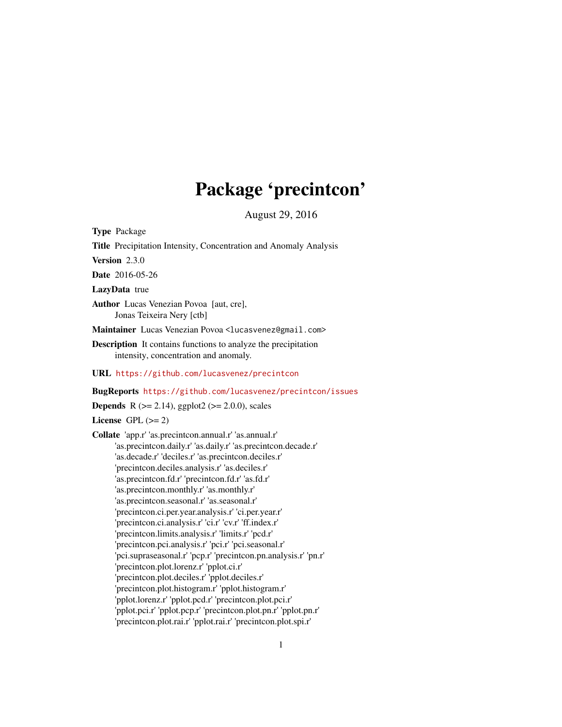# Package 'precintcon'

August 29, 2016

<span id="page-0-0"></span>Type Package

Title Precipitation Intensity, Concentration and Anomaly Analysis

Version 2.3.0

Date 2016-05-26

LazyData true

Author Lucas Venezian Povoa [aut, cre], Jonas Teixeira Nery [ctb]

Maintainer Lucas Venezian Povoa <lucasvenez@gmail.com>

Description It contains functions to analyze the precipitation intensity, concentration and anomaly.

URL <https://github.com/lucasvenez/precintcon>

BugReports <https://github.com/lucasvenez/precintcon/issues>

**Depends** R  $(>= 2.14)$ , ggplot2  $(>= 2.0.0)$ , scales

License GPL  $(>= 2)$ 

Collate 'app.r' 'as.precintcon.annual.r' 'as.annual.r' 'as.precintcon.daily.r' 'as.daily.r' 'as.precintcon.decade.r' 'as.decade.r' 'deciles.r' 'as.precintcon.deciles.r' 'precintcon.deciles.analysis.r' 'as.deciles.r' 'as.precintcon.fd.r' 'precintcon.fd.r' 'as.fd.r' 'as.precintcon.monthly.r' 'as.monthly.r' 'as.precintcon.seasonal.r' 'as.seasonal.r' 'precintcon.ci.per.year.analysis.r' 'ci.per.year.r' 'precintcon.ci.analysis.r' 'ci.r' 'cv.r' 'ff.index.r' 'precintcon.limits.analysis.r' 'limits.r' 'pcd.r' 'precintcon.pci.analysis.r' 'pci.r' 'pci.seasonal.r' 'pci.supraseasonal.r' 'pcp.r' 'precintcon.pn.analysis.r' 'pn.r' 'precintcon.plot.lorenz.r' 'pplot.ci.r' 'precintcon.plot.deciles.r' 'pplot.deciles.r' 'precintcon.plot.histogram.r' 'pplot.histogram.r' 'pplot.lorenz.r' 'pplot.pcd.r' 'precintcon.plot.pci.r' 'pplot.pci.r' 'pplot.pcp.r' 'precintcon.plot.pn.r' 'pplot.pn.r' 'precintcon.plot.rai.r' 'pplot.rai.r' 'precintcon.plot.spi.r'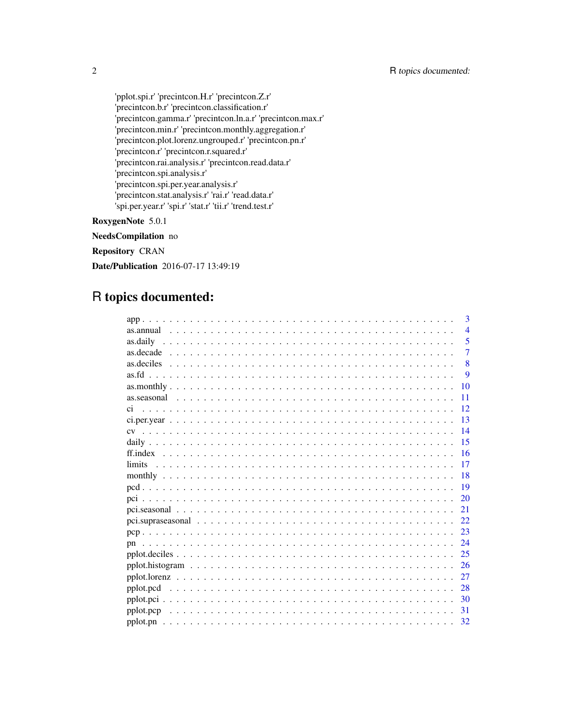'pplot.spi.r' 'precintcon.H.r' 'precintcon.Z.r' 'precintcon.b.r' 'precintcon.classification.r' 'precintcon.gamma.r' 'precintcon.ln.a.r' 'precintcon.max.r' 'precintcon.min.r' 'precintcon.monthly.aggregation.r' 'precintcon.plot.lorenz.ungrouped.r' 'precintcon.pn.r' 'precintcon.r' 'precintcon.r.squared.r' 'precintcon.rai.analysis.r' 'precintcon.read.data.r' 'precintcon.spi.analysis.r' 'precintcon.spi.per.year.analysis.r' 'precintcon.stat.analysis.r' 'rai.r' 'read.data.r' 'spi.per.year.r' 'spi.r' 'stat.r' 'tii.r' 'trend.test.r'

RoxygenNote 5.0.1

NeedsCompilation no

Repository CRAN

Date/Publication 2016-07-17 13:49:19

# R topics documented:

| 3              |
|----------------|
| $\overline{4}$ |
| 5<br>as.daily  |
| $\overline{7}$ |
| 8              |
| 9              |
| 10             |
| 11             |
| 12             |
| 13             |
| 14             |
| 15             |
| 16             |
| 17             |
| 18             |
| 19             |
| 20             |
| 21             |
| 22             |
| 23             |
| 24<br>pn       |
| 25             |
| 26             |
| 27             |
|                |
| 30             |
| $-31$          |
|                |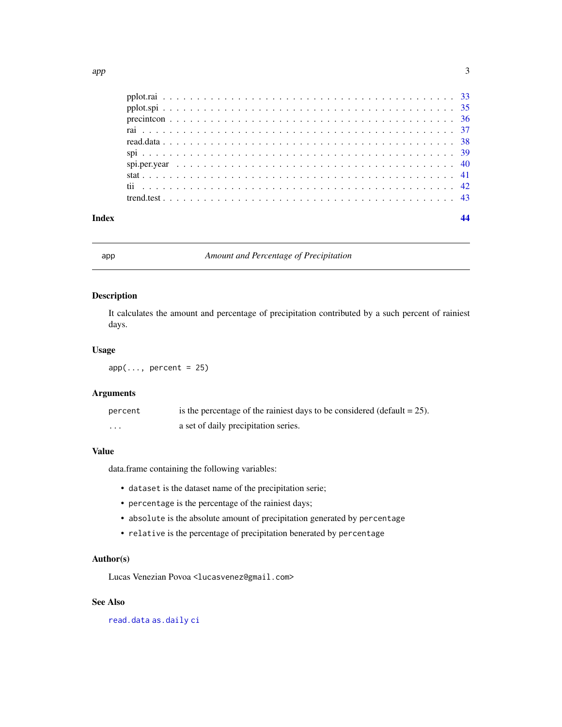<span id="page-2-0"></span>

# app *Amount and Percentage of Precipitation*

# Description

It calculates the amount and percentage of precipitation contributed by a such percent of rainiest days.

### Usage

 $app(\ldots, percent = 25)$ 

# Arguments

| percent  | is the percentage of the rainiest days to be considered (default $= 25$ ). |
|----------|----------------------------------------------------------------------------|
| $\cdots$ | a set of daily precipitation series.                                       |

#### Value

data.frame containing the following variables:

- dataset is the dataset name of the precipitation serie;
- percentage is the percentage of the rainiest days;
- absolute is the absolute amount of precipitation generated by percentage
- relative is the percentage of precipitation benerated by percentage

#### Author(s)

Lucas Venezian Povoa <lucasvenez@gmail.com>

# See Also

[read.data](#page-37-1) [as.daily](#page-4-1) [ci](#page-11-1)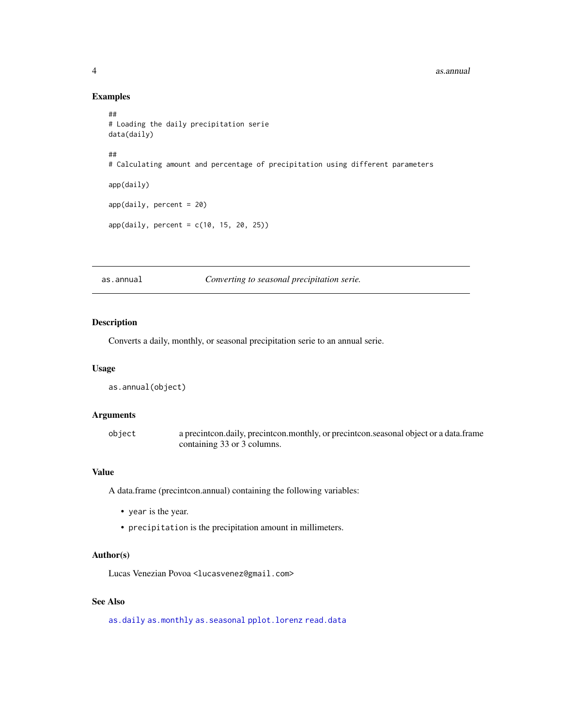#### <span id="page-3-0"></span>4 as.annual

# Examples

```
##
# Loading the daily precipitation serie
data(daily)
##
# Calculating amount and percentage of precipitation using different parameters
app(daily)
app(daily, percent = 20)app(daily, percent = c(10, 15, 20, 25))
```
<span id="page-3-1"></span>as.annual *Converting to seasonal precipitation serie.*

# <span id="page-3-2"></span>Description

Converts a daily, monthly, or seasonal precipitation serie to an annual serie.

#### Usage

```
as.annual(object)
```
#### Arguments

object a precintcon.daily, precintcon.monthly, or precintcon.seasonal object or a data.frame containing 33 or 3 columns.

#### Value

A data.frame (precintcon.annual) containing the following variables:

- year is the year.
- precipitation is the precipitation amount in millimeters.

# Author(s)

Lucas Venezian Povoa <lucasvenez@gmail.com>

# See Also

[as.daily](#page-4-1) [as.monthly](#page-9-1) [as.seasonal](#page-10-1) [pplot.lorenz](#page-26-1) [read.data](#page-37-1)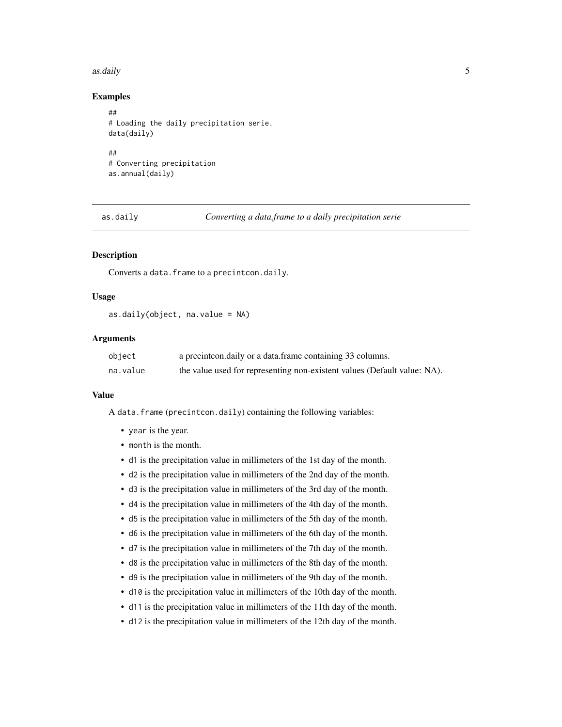#### <span id="page-4-0"></span>as.daily 5 as  $\mu$  5 as  $\mu$  5 as  $\mu$  5 as  $\mu$  5 as  $\mu$  5 as  $\mu$  5 as  $\mu$  5 as  $\mu$  5 as  $\mu$  5 as  $\mu$  5 as  $\mu$  5 as  $\mu$  5 as  $\mu$  5 as  $\mu$  5 as  $\mu$  5 as  $\mu$  5 as  $\mu$  5 as  $\mu$  5 as  $\mu$  5 as  $\mu$  5 as  $\mu$  5 a

#### Examples

```
##
# Loading the daily precipitation serie.
data(daily)
##
# Converting precipitation
as.annual(daily)
```
<span id="page-4-1"></span>as.daily *Converting a data.frame to a daily precipitation serie*

#### <span id="page-4-2"></span>Description

Converts a data.frame to a precintcon.daily.

# Usage

```
as.daily(object, na.value = NA)
```
# Arguments

| object   | a precint conductive or a data frame containing 33 columns.              |
|----------|--------------------------------------------------------------------------|
| na.value | the value used for representing non-existent values (Default value: NA). |

#### Value

A data.frame (precintcon.daily) containing the following variables:

- year is the year.
- month is the month.
- d1 is the precipitation value in millimeters of the 1st day of the month.
- d2 is the precipitation value in millimeters of the 2nd day of the month.
- d3 is the precipitation value in millimeters of the 3rd day of the month.
- d4 is the precipitation value in millimeters of the 4th day of the month.
- d5 is the precipitation value in millimeters of the 5th day of the month.
- d6 is the precipitation value in millimeters of the 6th day of the month.
- d7 is the precipitation value in millimeters of the 7th day of the month.
- d8 is the precipitation value in millimeters of the 8th day of the month.
- d9 is the precipitation value in millimeters of the 9th day of the month.
- d10 is the precipitation value in millimeters of the 10th day of the month.
- d11 is the precipitation value in millimeters of the 11th day of the month.
- d12 is the precipitation value in millimeters of the 12th day of the month.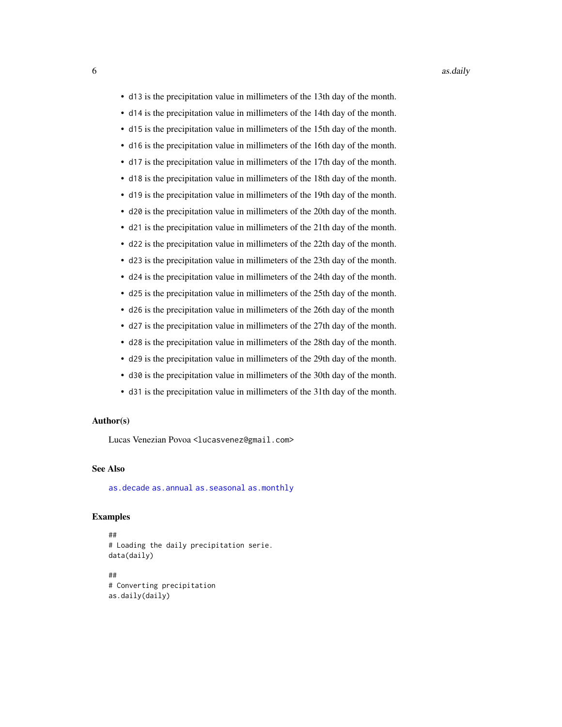- <span id="page-5-0"></span>• d13 is the precipitation value in millimeters of the 13th day of the month.
- d14 is the precipitation value in millimeters of the 14th day of the month.
- d15 is the precipitation value in millimeters of the 15th day of the month.
- d16 is the precipitation value in millimeters of the 16th day of the month.
- d17 is the precipitation value in millimeters of the 17th day of the month.
- d18 is the precipitation value in millimeters of the 18th day of the month.
- d19 is the precipitation value in millimeters of the 19th day of the month.
- d20 is the precipitation value in millimeters of the 20th day of the month.
- d21 is the precipitation value in millimeters of the 21th day of the month.
- d22 is the precipitation value in millimeters of the 22th day of the month.
- d23 is the precipitation value in millimeters of the 23th day of the month.
- d24 is the precipitation value in millimeters of the 24th day of the month.
- d25 is the precipitation value in millimeters of the 25th day of the month.
- d26 is the precipitation value in millimeters of the 26th day of the month
- d27 is the precipitation value in millimeters of the 27th day of the month.
- d28 is the precipitation value in millimeters of the 28th day of the month.
- d29 is the precipitation value in millimeters of the 29th day of the month.
- d30 is the precipitation value in millimeters of the 30th day of the month.
- d31 is the precipitation value in millimeters of the 31th day of the month.

#### Author(s)

Lucas Venezian Povoa <lucasvenez@gmail.com>

#### See Also

[as.decade](#page-6-1) [as.annual](#page-3-1) [as.seasonal](#page-10-1) [as.monthly](#page-9-1)

```
##
# Loading the daily precipitation serie.
data(daily)
##
# Converting precipitation
as.daily(daily)
```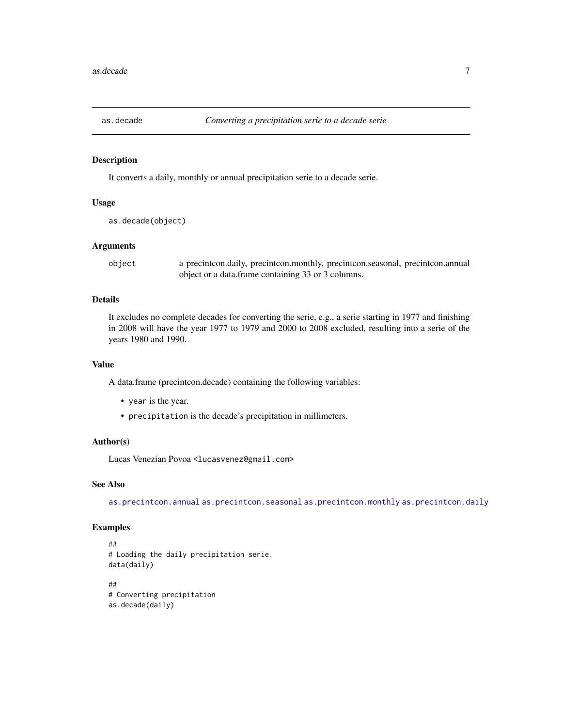<span id="page-6-1"></span><span id="page-6-0"></span>

It converts a daily, monthly or annual precipitation serie to a decade serie.

#### Usage

```
as.decade(object)
```
#### Arguments

object a precintcon.daily, precintcon.monthly, precintcon.seasonal, precintcon.annual object or a data.frame containing 33 or 3 columns.

# Details

It excludes no complete decades for converting the serie, e.g., a serie starting in 1977 and finishing in 2008 will have the year 1977 to 1979 and 2000 to 2008 excluded, resulting into a serie of the years 1980 and 1990.

#### Value

A data.frame (precintcon.decade) containing the following variables:

- year is the year.
- precipitation is the decade's precipitation in millimeters.

#### Author(s)

Lucas Venezian Povoa <lucasvenez@gmail.com>

#### See Also

[as.precintcon.annual](#page-3-2) [as.precintcon.seasonal](#page-10-2) [as.precintcon.monthly](#page-9-2) [as.precintcon.daily](#page-4-2)

```
##
# Loading the daily precipitation serie.
data(daily)
##
# Converting precipitation
as.decade(daily)
```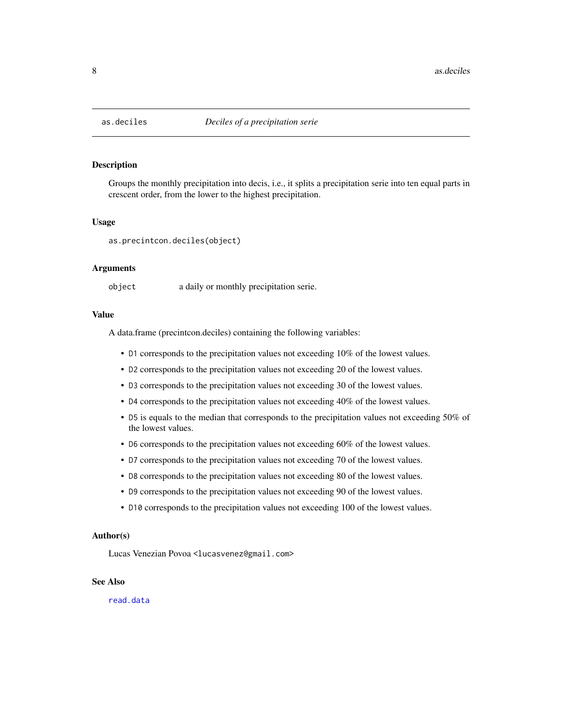<span id="page-7-1"></span><span id="page-7-0"></span>

Groups the monthly precipitation into decis, i.e., it splits a precipitation serie into ten equal parts in crescent order, from the lower to the highest precipitation.

#### Usage

as.precintcon.deciles(object)

#### Arguments

object a daily or monthly precipitation serie.

#### Value

A data.frame (precintcon.deciles) containing the following variables:

- D1 corresponds to the precipitation values not exceeding 10% of the lowest values.
- D2 corresponds to the precipitation values not exceeding 20 of the lowest values.
- D3 corresponds to the precipitation values not exceeding 30 of the lowest values.
- D4 corresponds to the precipitation values not exceeding 40% of the lowest values.
- D5 is equals to the median that corresponds to the precipitation values not exceeding 50% of the lowest values.
- D6 corresponds to the precipitation values not exceeding 60% of the lowest values.
- D7 corresponds to the precipitation values not exceeding 70 of the lowest values.
- D8 corresponds to the precipitation values not exceeding 80 of the lowest values.
- D9 corresponds to the precipitation values not exceeding 90 of the lowest values.
- D10 corresponds to the precipitation values not exceeding 100 of the lowest values.

#### Author(s)

Lucas Venezian Povoa <lucasvenez@gmail.com>

#### See Also

[read.data](#page-37-1)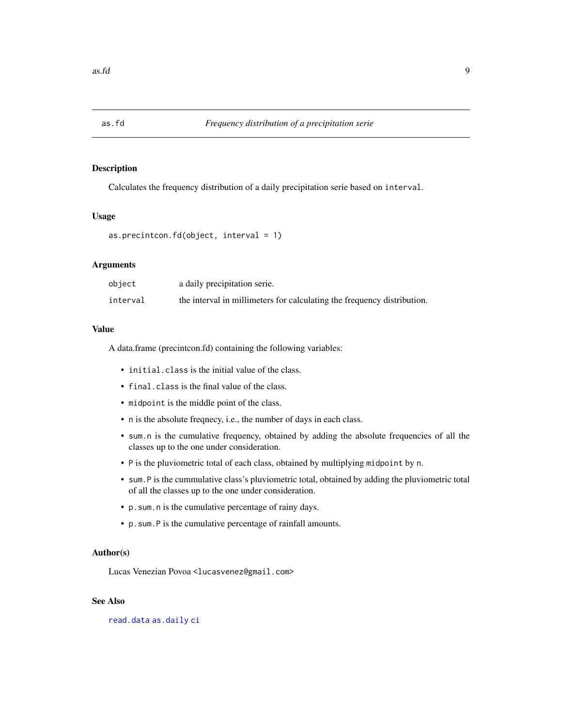<span id="page-8-0"></span>

Calculates the frequency distribution of a daily precipitation serie based on interval.

# Usage

```
as.precintcon.fd(object, interval = 1)
```
#### Arguments

| object   | a daily precipitation serie.                                            |
|----------|-------------------------------------------------------------------------|
| interval | the interval in millimeters for calculating the frequency distribution. |

#### Value

A data.frame (precintcon.fd) containing the following variables:

- initial.class is the initial value of the class.
- final.class is the final value of the class.
- midpoint is the middle point of the class.
- n is the absolute freqnecy, i.e., the number of days in each class.
- sum.n is the cumulative frequency, obtained by adding the absolute frequencies of all the classes up to the one under consideration.
- P is the pluviometric total of each class, obtained by multiplying midpoint by n.
- sum.P is the cummulative class's pluviometric total, obtained by adding the pluviometric total of all the classes up to the one under consideration.
- p.sum.n is the cumulative percentage of rainy days.
- p.sum.P is the cumulative percentage of rainfall amounts.

#### Author(s)

Lucas Venezian Povoa <lucasvenez@gmail.com>

# See Also

[read.data](#page-37-1) [as.daily](#page-4-1) [ci](#page-11-1)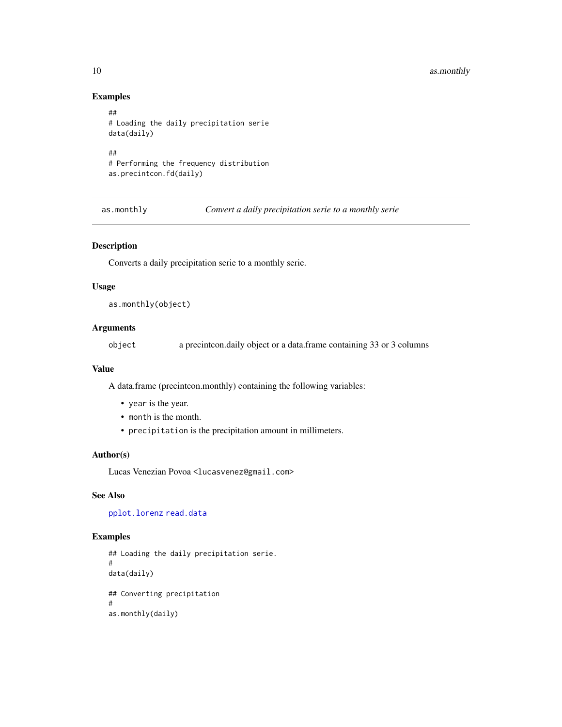# <span id="page-9-0"></span>10 as.monthly

# Examples

```
##
# Loading the daily precipitation serie
data(daily)
##
# Performing the frequency distribution
as.precintcon.fd(daily)
```
<span id="page-9-1"></span>as.monthly *Convert a daily precipitation serie to a monthly serie*

# <span id="page-9-2"></span>Description

Converts a daily precipitation serie to a monthly serie.

# Usage

as.monthly(object)

# Arguments

object a precintcon.daily object or a data.frame containing 33 or 3 columns

#### Value

A data.frame (precintcon.monthly) containing the following variables:

- year is the year.
- month is the month.
- precipitation is the precipitation amount in millimeters.

# Author(s)

Lucas Venezian Povoa <lucasvenez@gmail.com>

# See Also

[pplot.lorenz](#page-26-1) [read.data](#page-37-1)

```
## Loading the daily precipitation serie.
#
data(daily)
## Converting precipitation
#
as.monthly(daily)
```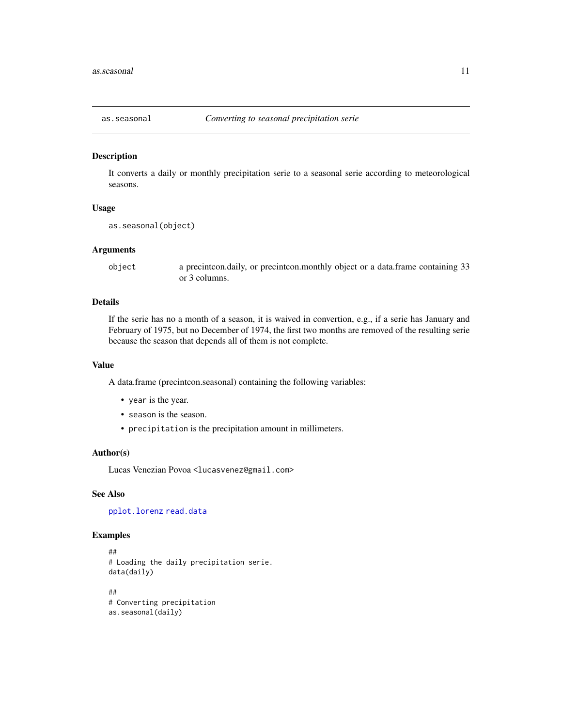<span id="page-10-2"></span><span id="page-10-1"></span><span id="page-10-0"></span>

It converts a daily or monthly precipitation serie to a seasonal serie according to meteorological seasons.

#### Usage

```
as.seasonal(object)
```
#### Arguments

object a precintcon.daily, or precintcon.monthly object or a data.frame containing 33 or 3 columns.

#### Details

If the serie has no a month of a season, it is waived in convertion, e.g., if a serie has January and February of 1975, but no December of 1974, the first two months are removed of the resulting serie because the season that depends all of them is not complete.

#### Value

A data.frame (precintcon.seasonal) containing the following variables:

- year is the year.
- season is the season.
- precipitation is the precipitation amount in millimeters.

#### Author(s)

Lucas Venezian Povoa <lucasvenez@gmail.com>

#### See Also

[pplot.lorenz](#page-26-1) [read.data](#page-37-1)

```
##
# Loading the daily precipitation serie.
data(daily)
##
# Converting precipitation
as.seasonal(daily)
```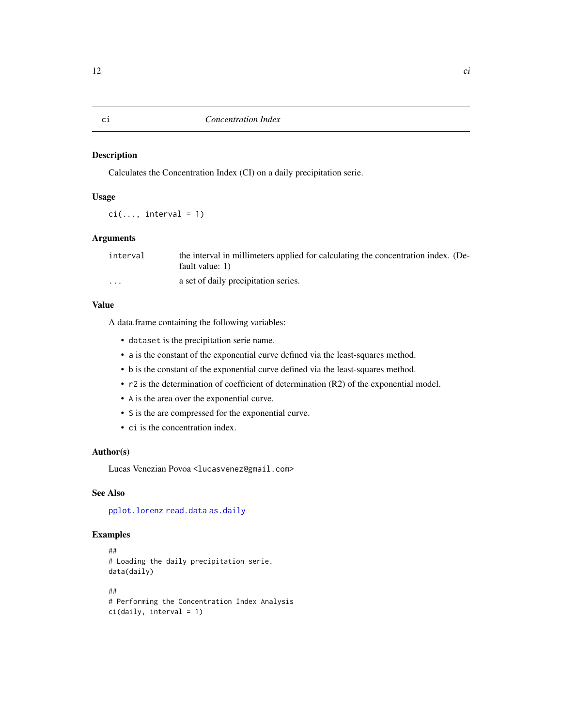<span id="page-11-1"></span><span id="page-11-0"></span>Calculates the Concentration Index (CI) on a daily precipitation serie.

# Usage

 $ci(..., interval = 1)$ 

#### Arguments

| interval | the interval in millimeters applied for calculating the concentration index. (De-<br>fault value: 1) |
|----------|------------------------------------------------------------------------------------------------------|
| $\cdots$ | a set of daily precipitation series.                                                                 |

#### Value

A data.frame containing the following variables:

- dataset is the precipitation serie name.
- a is the constant of the exponential curve defined via the least-squares method.
- b is the constant of the exponential curve defined via the least-squares method.
- r2 is the determination of coefficient of determination (R2) of the exponential model.
- A is the area over the exponential curve.
- S is the are compressed for the exponential curve.
- ci is the concentration index.

# Author(s)

Lucas Venezian Povoa <lucasvenez@gmail.com>

# See Also

[pplot.lorenz](#page-26-1) [read.data](#page-37-1) [as.daily](#page-4-1)

```
##
# Loading the daily precipitation serie.
data(daily)
##
# Performing the Concentration Index Analysis
ci(daily, interval = 1)
```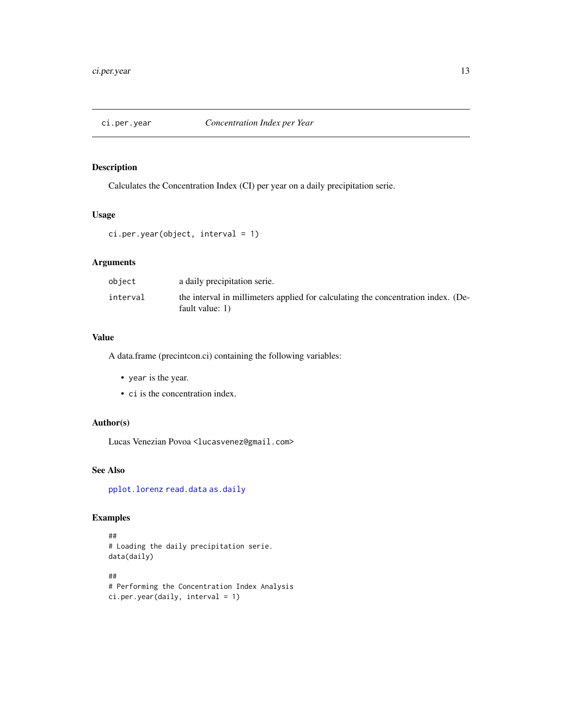<span id="page-12-1"></span><span id="page-12-0"></span>

Calculates the Concentration Index (CI) per year on a daily precipitation serie.

## Usage

```
ci.per.year(object, interval = 1)
```
# Arguments

| object   | a daily precipitation serie.                                                                         |
|----------|------------------------------------------------------------------------------------------------------|
| interval | the interval in millimeters applied for calculating the concentration index. (De-<br>fault value: 1) |

# Value

A data.frame (precintcon.ci) containing the following variables:

- year is the year.
- ci is the concentration index.

# Author(s)

Lucas Venezian Povoa <lucasvenez@gmail.com>

# See Also

[pplot.lorenz](#page-26-1) [read.data](#page-37-1) [as.daily](#page-4-1)

```
##
# Loading the daily precipitation serie.
data(daily)
##
# Performing the Concentration Index Analysis
ci.per.year(daily, interval = 1)
```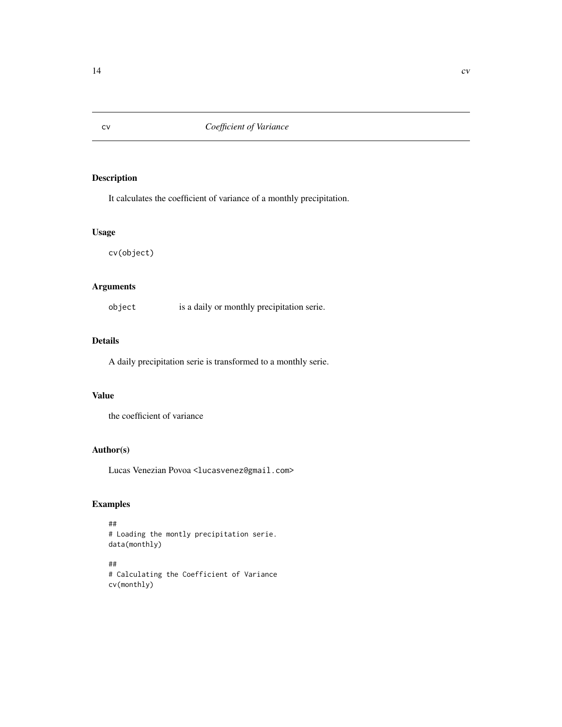It calculates the coefficient of variance of a monthly precipitation.

#### Usage

cv(object)

# Arguments

object is a daily or monthly precipitation serie.

#### Details

A daily precipitation serie is transformed to a monthly serie.

# Value

the coefficient of variance

# Author(s)

Lucas Venezian Povoa <lucasvenez@gmail.com>

# Examples

```
##
# Loading the montly precipitation serie.
data(monthly)
```
## # Calculating the Coefficient of Variance cv(monthly)

<span id="page-13-0"></span>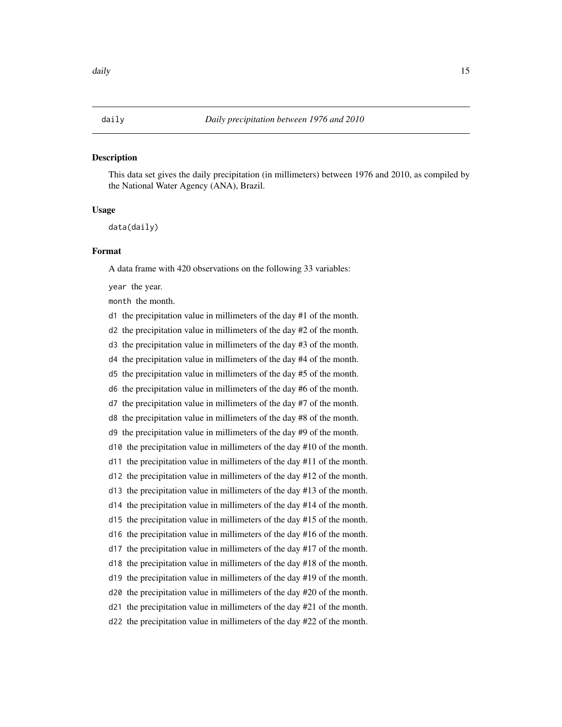<span id="page-14-1"></span><span id="page-14-0"></span>This data set gives the daily precipitation (in millimeters) between 1976 and 2010, as compiled by the National Water Agency (ANA), Brazil.

#### Usage

data(daily)

#### Format

A data frame with 420 observations on the following 33 variables:

year the year.

month the month.

d1 the precipitation value in millimeters of the day #1 of the month.

d2 the precipitation value in millimeters of the day #2 of the month.

d3 the precipitation value in millimeters of the day #3 of the month.

d4 the precipitation value in millimeters of the day #4 of the month.

d5 the precipitation value in millimeters of the day #5 of the month.

d6 the precipitation value in millimeters of the day #6 of the month.

d7 the precipitation value in millimeters of the day #7 of the month.

d8 the precipitation value in millimeters of the day #8 of the month.

d9 the precipitation value in millimeters of the day #9 of the month.

d10 the precipitation value in millimeters of the day #10 of the month.

d11 the precipitation value in millimeters of the day #11 of the month.

d12 the precipitation value in millimeters of the day #12 of the month.

d13 the precipitation value in millimeters of the day #13 of the month.

d14 the precipitation value in millimeters of the day #14 of the month.

d15 the precipitation value in millimeters of the day #15 of the month.

d16 the precipitation value in millimeters of the day #16 of the month.

d17 the precipitation value in millimeters of the day #17 of the month.

d18 the precipitation value in millimeters of the day #18 of the month.

d19 the precipitation value in millimeters of the day #19 of the month.

d20 the precipitation value in millimeters of the day #20 of the month.

d21 the precipitation value in millimeters of the day #21 of the month.

d22 the precipitation value in millimeters of the day #22 of the month.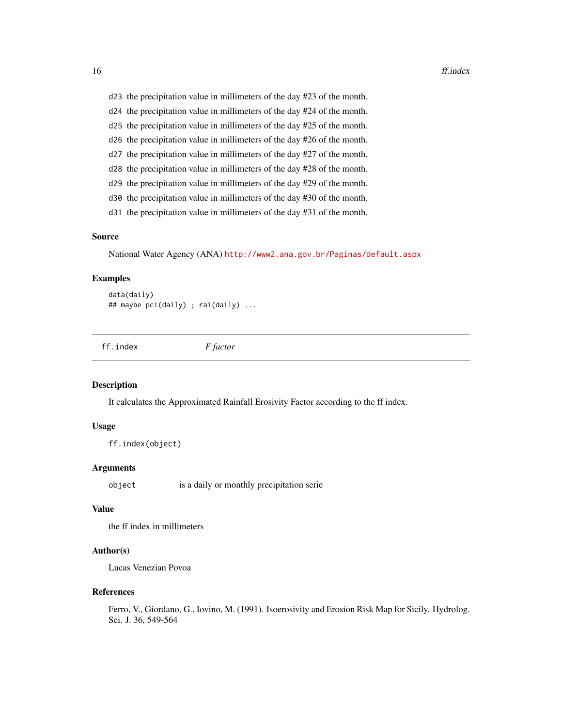- <span id="page-15-0"></span>d23 the precipitation value in millimeters of the day #23 of the month.
- d24 the precipitation value in millimeters of the day #24 of the month.
- d25 the precipitation value in millimeters of the day #25 of the month.
- d26 the precipitation value in millimeters of the day #26 of the month.
- d27 the precipitation value in millimeters of the day #27 of the month.
- d28 the precipitation value in millimeters of the day #28 of the month.
- d29 the precipitation value in millimeters of the day #29 of the month.
- d30 the precipitation value in millimeters of the day #30 of the month.
- d31 the precipitation value in millimeters of the day #31 of the month.

#### Source

National Water Agency (ANA) <http://www2.ana.gov.br/Paginas/default.aspx>

#### Examples

```
data(daily)
## maybe pci(daily) ; rai(daily) ...
```
ff.index *F factor*

#### **Description**

It calculates the Approximated Rainfall Erosivity Factor according to the ff index.

#### Usage

```
ff.index(object)
```
#### Arguments

object is a daily or monthly precipitation serie

#### Value

the ff index in millimeters

# Author(s)

Lucas Venezian Povoa

#### References

Ferro, V., Giordano, G., Iovino, M. (1991). Isoerosivity and Erosion Risk Map for Sicily. Hydrolog. Sci. J. 36, 549-564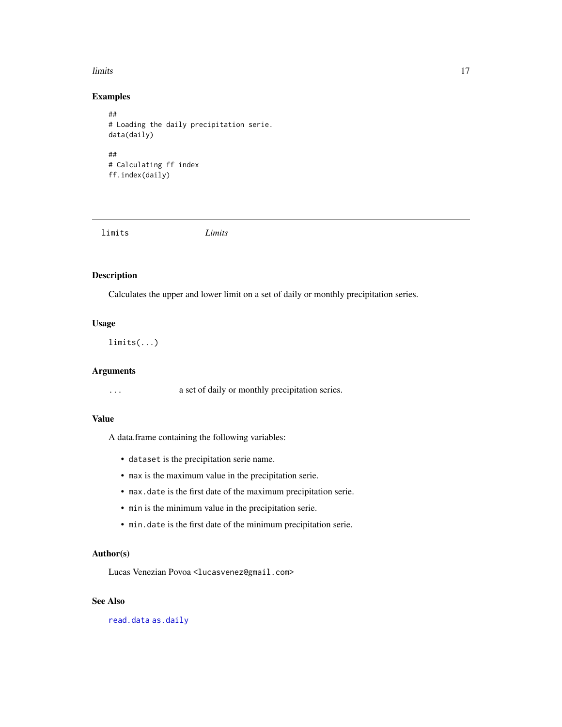#### <span id="page-16-0"></span>limits and the contract of the contract of the contract of the contract of the contract of the contract of the contract of the contract of the contract of the contract of the contract of the contract of the contract of the

# Examples

```
##
# Loading the daily precipitation serie.
data(daily)
##
# Calculating ff index
ff.index(daily)
```
limits *Limits*

# Description

Calculates the upper and lower limit on a set of daily or monthly precipitation series.

# Usage

limits(...)

# Arguments

... a set of daily or monthly precipitation series.

## Value

A data.frame containing the following variables:

- dataset is the precipitation serie name.
- max is the maximum value in the precipitation serie.
- max.date is the first date of the maximum precipitation serie.
- min is the minimum value in the precipitation serie.
- min.date is the first date of the minimum precipitation serie.

#### Author(s)

Lucas Venezian Povoa <lucasvenez@gmail.com>

# See Also

[read.data](#page-37-1) [as.daily](#page-4-1)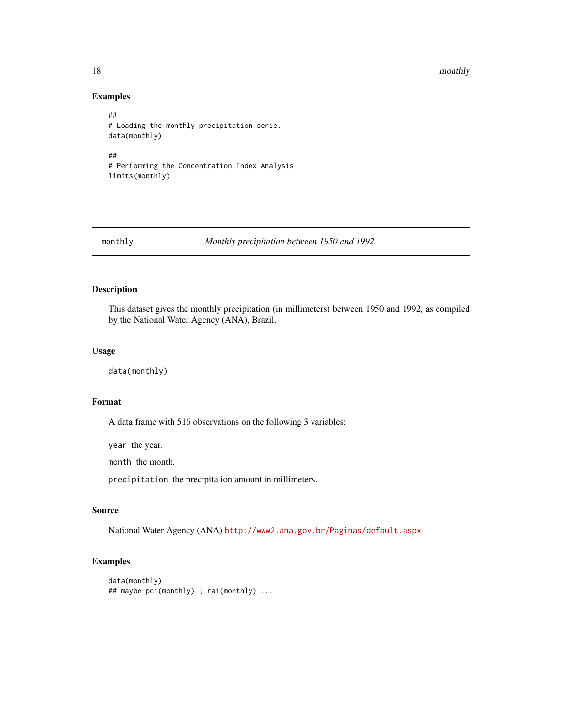#### <span id="page-17-0"></span>18 monthly

# Examples

```
##
# Loading the monthly precipitation serie.
data(monthly)
##
# Performing the Concentration Index Analysis
limits(monthly)
```
<span id="page-17-1"></span>monthly *Monthly precipitation between 1950 and 1992.*

#### Description

This dataset gives the monthly precipitation (in millimeters) between 1950 and 1992, as compiled by the National Water Agency (ANA), Brazil.

#### Usage

data(monthly)

#### Format

A data frame with 516 observations on the following 3 variables:

year the year.

month the month.

precipitation the precipitation amount in millimeters.

# Source

National Water Agency (ANA) <http://www2.ana.gov.br/Paginas/default.aspx>

```
data(monthly)
## maybe pci(monthly) ; rai(monthly) ...
```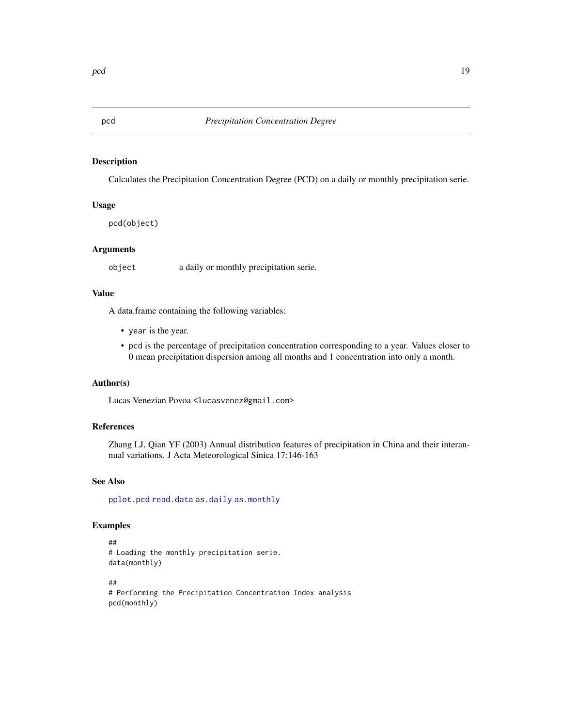<span id="page-18-1"></span><span id="page-18-0"></span>

Calculates the Precipitation Concentration Degree (PCD) on a daily or monthly precipitation serie.

#### Usage

pcd(object)

#### Arguments

object a daily or monthly precipitation serie.

#### Value

A data.frame containing the following variables:

- year is the year.
- pcd is the percentage of precipitation concentration corresponding to a year. Values closer to 0 mean precipitation dispersion among all months and 1 concentration into only a month.

#### Author(s)

Lucas Venezian Povoa <lucasvenez@gmail.com>

#### References

Zhang LJ, Qian YF (2003) Annual distribution features of precipitation in China and their interannual variations. J Acta Meteorological Sinica 17:146-163

# See Also

[pplot.pcd](#page-27-1) [read.data](#page-37-1) [as.daily](#page-4-1) [as.monthly](#page-9-1)

```
##
# Loading the monthly precipitation serie.
data(monthly)
##
# Performing the Precipitation Concentration Index analysis
pcd(monthly)
```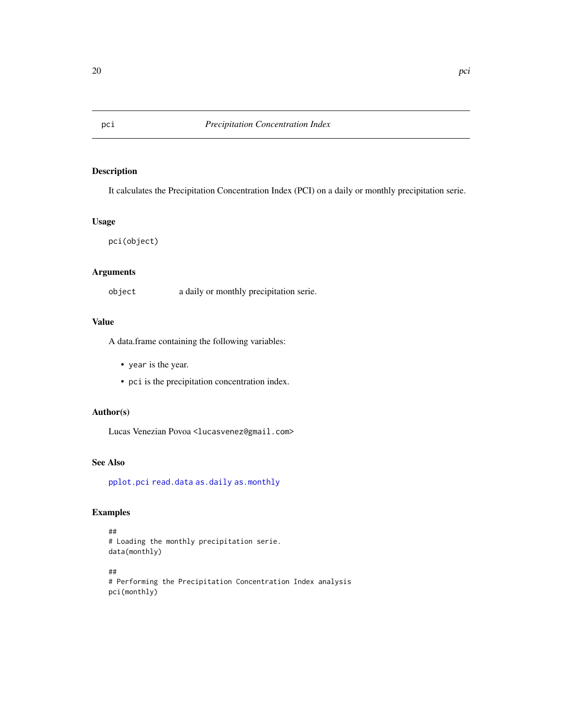It calculates the Precipitation Concentration Index (PCI) on a daily or monthly precipitation serie.

#### Usage

pci(object)

# Arguments

object a daily or monthly precipitation serie.

# Value

A data.frame containing the following variables:

- year is the year.
- pci is the precipitation concentration index.

# Author(s)

Lucas Venezian Povoa <lucasvenez@gmail.com>

# See Also

[pplot.pci](#page-29-1) [read.data](#page-37-1) [as.daily](#page-4-1) [as.monthly](#page-9-1)

# Examples

```
##
# Loading the monthly precipitation serie.
data(monthly)
```
## # Performing the Precipitation Concentration Index analysis pci(monthly)

<span id="page-19-1"></span><span id="page-19-0"></span>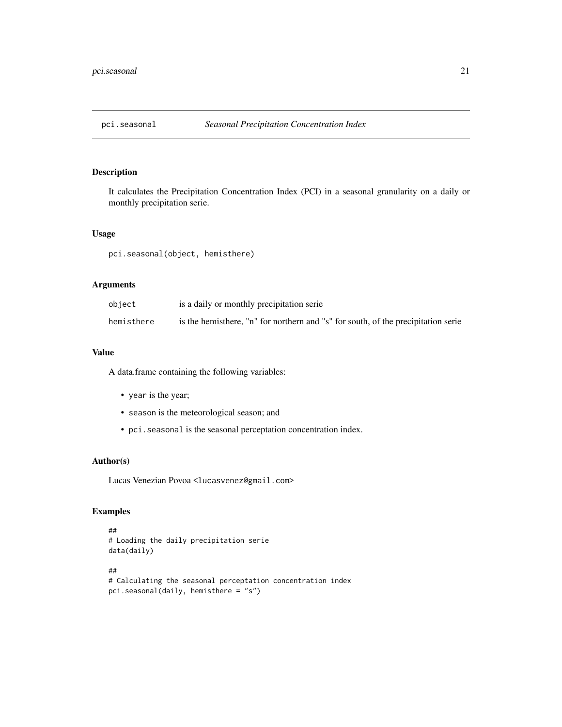<span id="page-20-0"></span>

It calculates the Precipitation Concentration Index (PCI) in a seasonal granularity on a daily or monthly precipitation serie.

#### Usage

pci.seasonal(object, hemisthere)

#### Arguments

| object     | is a daily or monthly precipitation serie                                         |
|------------|-----------------------------------------------------------------------------------|
| hemisthere | is the hemisthere, "n" for northern and "s" for south, of the precipitation serie |

# Value

A data.frame containing the following variables:

- year is the year;
- season is the meteorological season; and
- pci.seasonal is the seasonal perceptation concentration index.

#### Author(s)

Lucas Venezian Povoa <lucasvenez@gmail.com>

```
##
# Loading the daily precipitation serie
data(daily)
##
# Calculating the seasonal perceptation concentration index
pci.seasonal(daily, hemisthere = "s")
```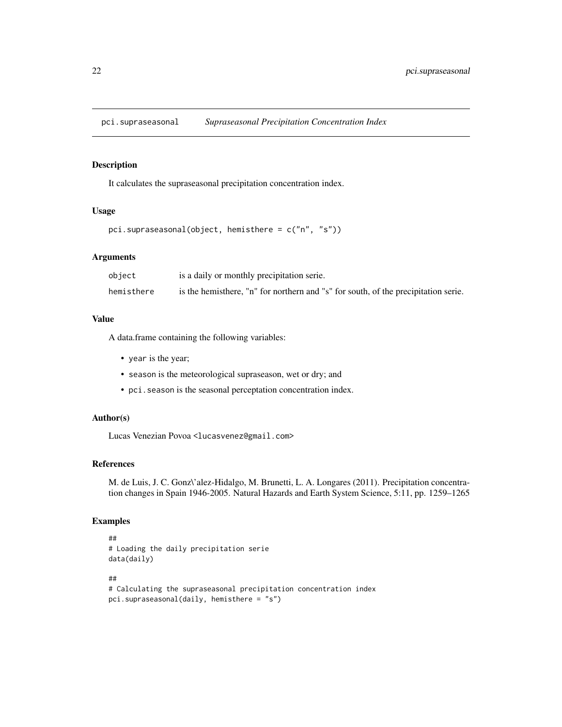<span id="page-21-0"></span>

It calculates the supraseasonal precipitation concentration index.

# Usage

```
pci.supraseasonal(object, hemisthere = c("n", "s"))
```
# Arguments

| object     | is a daily or monthly precipitation serie.                                         |
|------------|------------------------------------------------------------------------------------|
| hemisthere | is the hemisthere, "n" for northern and "s" for south, of the precipitation serie. |

#### Value

A data.frame containing the following variables:

- year is the year;
- season is the meteorological supraseason, wet or dry; and
- pci.season is the seasonal perceptation concentration index.

#### Author(s)

Lucas Venezian Povoa <lucasvenez@gmail.com>

### References

M. de Luis, J. C. Gonz\'alez-Hidalgo, M. Brunetti, L. A. Longares (2011). Precipitation concentration changes in Spain 1946-2005. Natural Hazards and Earth System Science, 5:11, pp. 1259–1265

```
##
# Loading the daily precipitation serie
data(daily)
##
# Calculating the supraseasonal precipitation concentration index
pci.supraseasonal(daily, hemisthere = "s")
```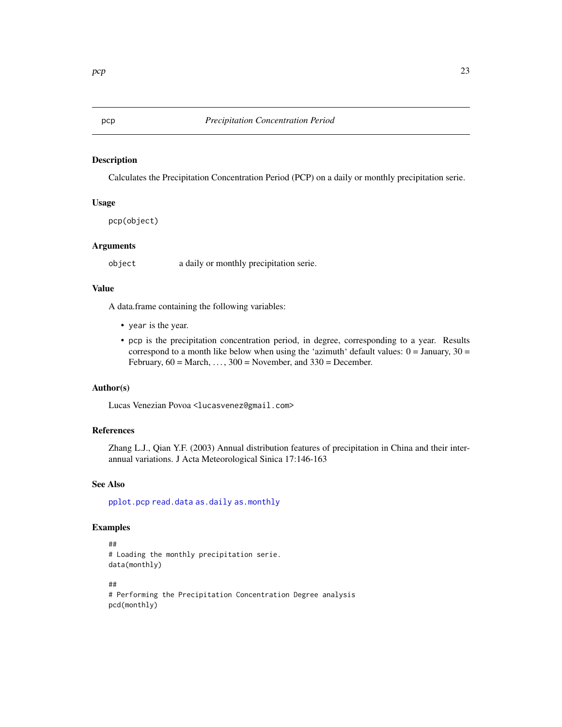<span id="page-22-1"></span><span id="page-22-0"></span>Calculates the Precipitation Concentration Period (PCP) on a daily or monthly precipitation serie.

#### Usage

pcp(object)

#### Arguments

object a daily or monthly precipitation serie.

# Value

A data.frame containing the following variables:

- year is the year.
- pcp is the precipitation concentration period, in degree, corresponding to a year. Results correspond to a month like below when using the 'azimuth' default values:  $0 =$  January,  $30 =$ February,  $60 = March, \ldots, 300 = November$ , and  $330 = December$ .

#### Author(s)

Lucas Venezian Povoa <lucasvenez@gmail.com>

#### References

Zhang L.J., Qian Y.F. (2003) Annual distribution features of precipitation in China and their interannual variations. J Acta Meteorological Sinica 17:146-163

#### See Also

[pplot.pcp](#page-30-1) [read.data](#page-37-1) [as.daily](#page-4-1) [as.monthly](#page-9-1)

```
##
# Loading the monthly precipitation serie.
data(monthly)
##
```

```
# Performing the Precipitation Concentration Degree analysis
pcd(monthly)
```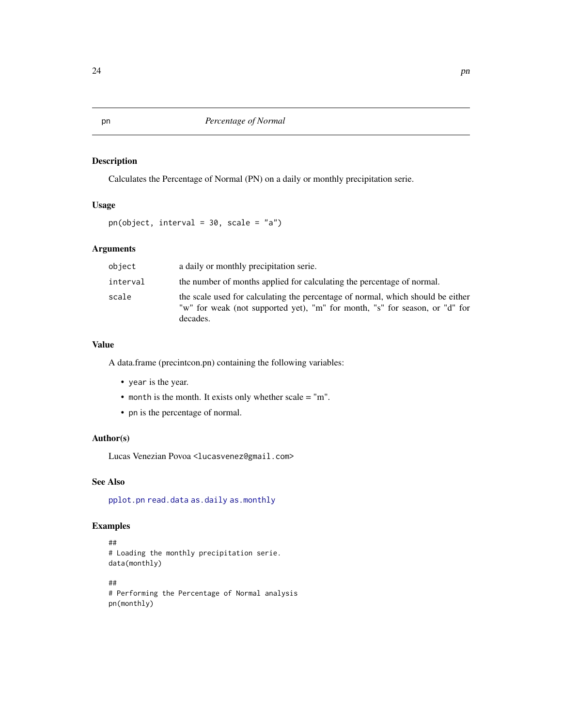Calculates the Percentage of Normal (PN) on a daily or monthly precipitation serie.

# Usage

pn(object, interval = 30, scale = "a")

# Arguments

| object   | a daily or monthly precipitation serie.                                                                                                                                    |
|----------|----------------------------------------------------------------------------------------------------------------------------------------------------------------------------|
| interval | the number of months applied for calculating the percentage of normal.                                                                                                     |
| scale    | the scale used for calculating the percentage of normal, which should be either<br>"w" for weak (not supported yet), "m" for month, "s" for season, or "d" for<br>decades. |

#### Value

A data.frame (precintcon.pn) containing the following variables:

- year is the year.
- month is the month. It exists only whether scale = "m".
- pn is the percentage of normal.

#### Author(s)

Lucas Venezian Povoa <lucasvenez@gmail.com>

# See Also

[pplot.pn](#page-31-1) [read.data](#page-37-1) [as.daily](#page-4-1) [as.monthly](#page-9-1)

```
##
# Loading the monthly precipitation serie.
data(monthly)
##
# Performing the Percentage of Normal analysis
```

```
pn(monthly)
```
<span id="page-23-0"></span>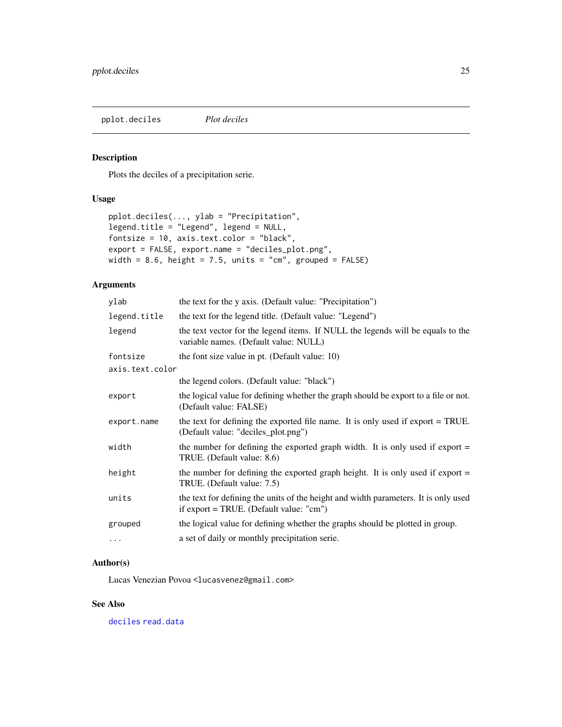<span id="page-24-0"></span>pplot.deciles *Plot deciles*

# Description

Plots the deciles of a precipitation serie.

# Usage

```
pplot.deciles(..., ylab = "Precipitation",
legend.title = "Legend", legend = NULL,
fontsize = 10, axis.text.color = "black",
export = FALSE, export.name = "deciles_plot.png",
width = 8.6, height = 7.5, units = "cm", grouped = FALSE)
```
#### Arguments

| ylab            | the text for the y axis. (Default value: "Precipitation")                                                                                       |
|-----------------|-------------------------------------------------------------------------------------------------------------------------------------------------|
| legend.title    | the text for the legend title. (Default value: "Legend")                                                                                        |
| legend          | the text vector for the legend items. If NULL the legends will be equals to the<br>variable names. (Default value: NULL)                        |
| fontsize        | the font size value in pt. (Default value: 10)                                                                                                  |
| axis.text.color |                                                                                                                                                 |
|                 | the legend colors. (Default value: "black")                                                                                                     |
| export          | the logical value for defining whether the graph should be export to a file or not.<br>(Default value: FALSE)                                   |
| export.name     | the text for defining the exported file name. It is only used if export = TRUE.<br>(Default value: "deciles_plot.png")                          |
| width           | the number for defining the exported graph width. It is only used if export $=$<br>TRUE. (Default value: 8.6)                                   |
| height          | the number for defining the exported graph height. It is only used if export $=$<br>TRUE. (Default value: 7.5)                                  |
| units           | the text for defining the units of the height and width parameters. It is only used<br>if $\text{export} = \text{TRUE}$ . (Default value: "cm") |
| grouped         | the logical value for defining whether the graphs should be plotted in group.                                                                   |
| $\cdots$        | a set of daily or monthly precipitation serie.                                                                                                  |

#### Author(s)

Lucas Venezian Povoa <lucasvenez@gmail.com>

# See Also

[deciles](#page-7-1) [read.data](#page-37-1)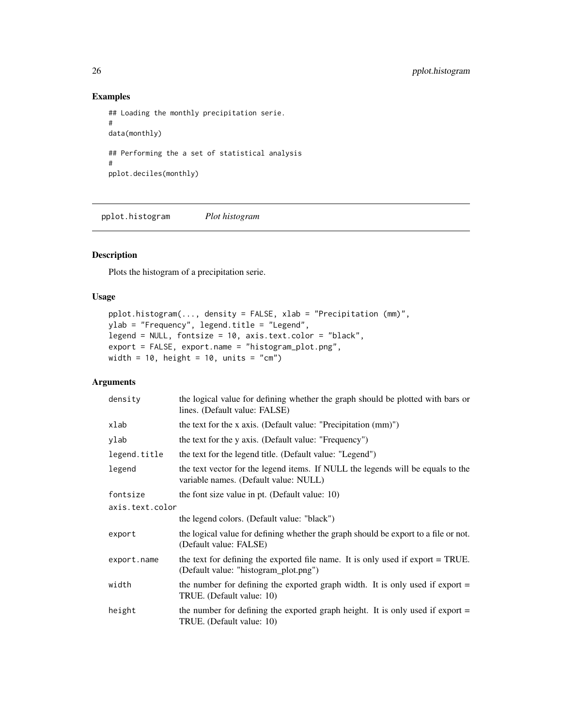# Examples

```
## Loading the monthly precipitation serie.
#
data(monthly)
## Performing the a set of statistical analysis
#
pplot.deciles(monthly)
```
pplot.histogram *Plot histogram*

# Description

Plots the histogram of a precipitation serie.

# Usage

```
pplot.histogram(..., density = FALSE, xlab = "Precipitation (mm)",
ylab = "Frequency", legend.title = "Legend",
legend = NULL, fontsize = 10, axis.text.color = "black",
export = FALSE, export.name = "histogram_plot.png",
width = 10, height = 10, units = "cm")
```
# Arguments

| density         | the logical value for defining whether the graph should be plotted with bars or<br>lines. (Default value: FALSE)         |
|-----------------|--------------------------------------------------------------------------------------------------------------------------|
| xlab            | the text for the x axis. (Default value: "Precipitation $(mm)$ ")                                                        |
| ylab            | the text for the y axis. (Default value: "Frequency")                                                                    |
| legend.title    | the text for the legend title. (Default value: "Legend")                                                                 |
| legend          | the text vector for the legend items. If NULL the legends will be equals to the<br>variable names. (Default value: NULL) |
| fontsize        | the font size value in pt. (Default value: 10)                                                                           |
| axis.text.color |                                                                                                                          |
|                 | the legend colors. (Default value: "black")                                                                              |
| export          | the logical value for defining whether the graph should be export to a file or not.<br>(Default value: FALSE)            |
| export.name     | the text for defining the exported file name. It is only used if export = TRUE.<br>(Default value: "histogram_plot.png") |
| width           | the number for defining the exported graph width. It is only used if export $=$<br>TRUE. (Default value: 10)             |
| height          | the number for defining the exported graph height. It is only used if export $=$<br>TRUE. (Default value: 10)            |

<span id="page-25-0"></span>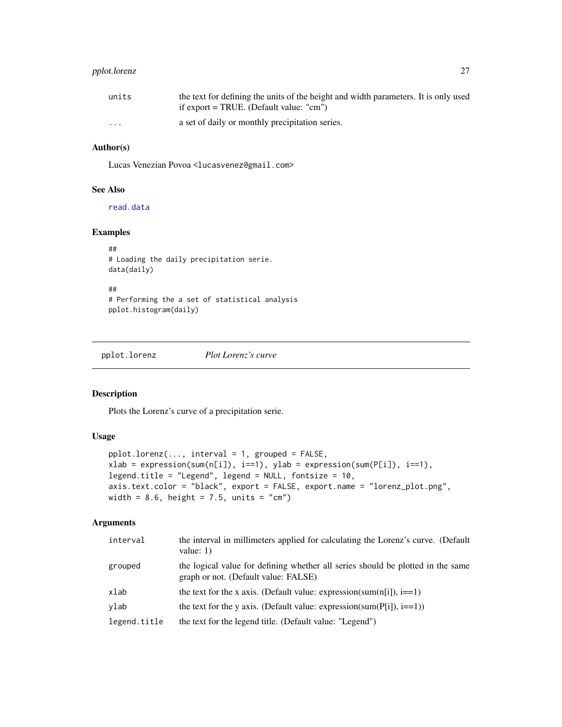# <span id="page-26-0"></span>pplot.lorenz 27

| units                   | the text for defining the units of the height and width parameters. It is only used |
|-------------------------|-------------------------------------------------------------------------------------|
|                         | if export = TRUE. (Default value: "cm")                                             |
| $\cdot$ $\cdot$ $\cdot$ | a set of daily or monthly precipitation series.                                     |

# Author(s)

Lucas Venezian Povoa <lucasvenez@gmail.com>

# See Also

[read.data](#page-37-1)

# Examples

```
##
# Loading the daily precipitation serie.
data(daily)
##
# Performing the a set of statistical analysis
pplot.histogram(daily)
```
<span id="page-26-1"></span>pplot.lorenz *Plot Lorenz's curve*

# Description

Plots the Lorenz's curve of a precipitation serie.

# Usage

```
pplot.lorenz(..., interval = 1, grouped = FALSE,
xlab = expression(sum(n[i]), i==1), ylab = expression(sum(P[i]), i==1),
legend.title = "Legend", legend = NULL, fontsize = 10,
axis.text.color = "black", export = FALSE, export.name = "lorenz_plot.png",
width = 8.6, height = 7.5, units = "cm")
```
# Arguments

| interval     | the interval in millimeters applied for calculating the Lorenz's curve. (Default<br>value: $1)$                         |
|--------------|-------------------------------------------------------------------------------------------------------------------------|
| grouped      | the logical value for defining whether all series should be plotted in the same<br>graph or not. (Default value: FALSE) |
| xlab         | the text for the x axis. (Default value: expression(sum(n[i]), $i=1$ )                                                  |
| ylab         | the text for the y axis. (Default value: expression(sum( $P[i]$ ), $i=1$ ))                                             |
| legend.title | the text for the legend title. (Default value: "Legend")                                                                |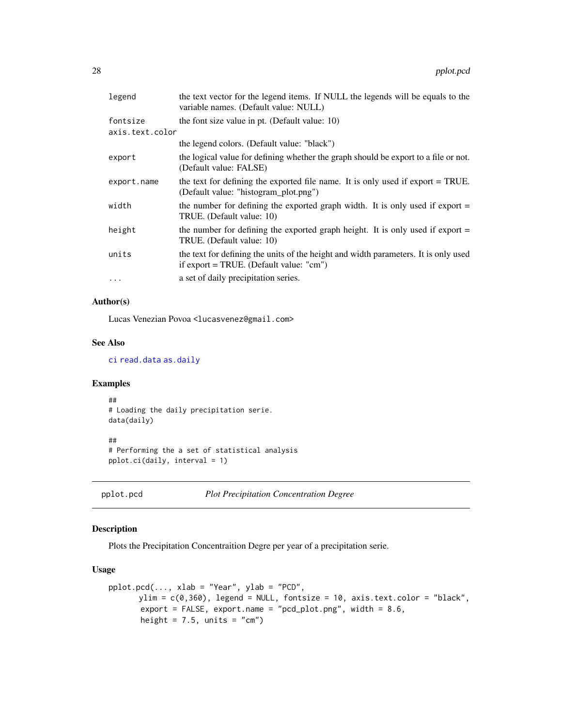<span id="page-27-0"></span>

| legend          | the text vector for the legend items. If NULL the legends will be equals to the<br>variable names. (Default value: NULL)                        |
|-----------------|-------------------------------------------------------------------------------------------------------------------------------------------------|
| fontsize        | the font size value in pt. (Default value: 10)                                                                                                  |
| axis.text.color |                                                                                                                                                 |
|                 | the legend colors. (Default value: "black")                                                                                                     |
| export          | the logical value for defining whether the graph should be export to a file or not.<br>(Default value: FALSE)                                   |
| export.name     | the text for defining the exported file name. It is only used if export = TRUE.<br>(Default value: "histogram_plot.png")                        |
| width           | the number for defining the exported graph width. It is only used if export $=$<br>TRUE. (Default value: 10)                                    |
| height          | the number for defining the exported graph height. It is only used if export $=$<br>TRUE. (Default value: 10)                                   |
| units           | the text for defining the units of the height and width parameters. It is only used<br>if $\text{export} = \text{TRUE}$ . (Default value: "cm") |
| $\cdots$        | a set of daily precipitation series.                                                                                                            |

# Author(s)

Lucas Venezian Povoa <lucasvenez@gmail.com>

#### See Also

[ci](#page-11-1) [read.data](#page-37-1) [as.daily](#page-4-1)

### Examples

```
##
# Loading the daily precipitation serie.
data(daily)
```
##

```
# Performing the a set of statistical analysis
pplot.ci(daily, interval = 1)
```
<span id="page-27-1"></span>pplot.pcd *Plot Precipitation Concentration Degree*

# Description

Plots the Precipitation Concentraition Degre per year of a precipitation serie.

# Usage

```
pplot.pcd(..., xlab = "Year", ylab = "PCD",
      ylim = c(0,360), legend = NULL, fontsize = 10, axis.text.color = "black",
       export = FALSE, export.name = "pcd_plot.png", width = 8.6,
       height = 7.5, units = "cm")
```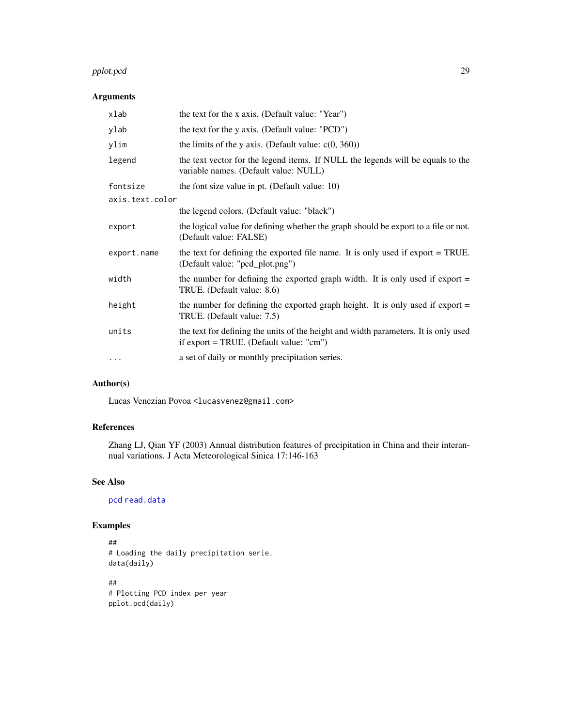#### <span id="page-28-0"></span>pplot.pcd 29

# Arguments

| xlab            | the text for the x axis. (Default value: "Year")                                                                                                |
|-----------------|-------------------------------------------------------------------------------------------------------------------------------------------------|
| ylab            | the text for the y axis. (Default value: "PCD")                                                                                                 |
| ylim            | the limits of the y axis. (Default value: $c(0, 360)$ )                                                                                         |
| legend          | the text vector for the legend items. If NULL the legends will be equals to the<br>variable names. (Default value: NULL)                        |
| fontsize        | the font size value in pt. (Default value: 10)                                                                                                  |
| axis.text.color |                                                                                                                                                 |
|                 | the legend colors. (Default value: "black")                                                                                                     |
| export          | the logical value for defining whether the graph should be export to a file or not.<br>(Default value: FALSE)                                   |
| export.name     | the text for defining the exported file name. It is only used if export = TRUE.<br>(Default value: "pcd_plot.png")                              |
| width           | the number for defining the exported graph width. It is only used if export $=$<br>TRUE. (Default value: 8.6)                                   |
| height          | the number for defining the exported graph height. It is only used if export $=$<br>TRUE. (Default value: 7.5)                                  |
| units           | the text for defining the units of the height and width parameters. It is only used<br>if $\text{export} = \text{TRUE}$ . (Default value: "cm") |
| $\cdots$        | a set of daily or monthly precipitation series.                                                                                                 |

# Author(s)

Lucas Venezian Povoa <lucasvenez@gmail.com>

#### References

Zhang LJ, Qian YF (2003) Annual distribution features of precipitation in China and their interannual variations. J Acta Meteorological Sinica 17:146-163

# See Also

[pcd](#page-18-1) [read.data](#page-37-1)

```
##
# Loading the daily precipitation serie.
data(daily)
##
# Plotting PCD index per year
pplot.pcd(daily)
```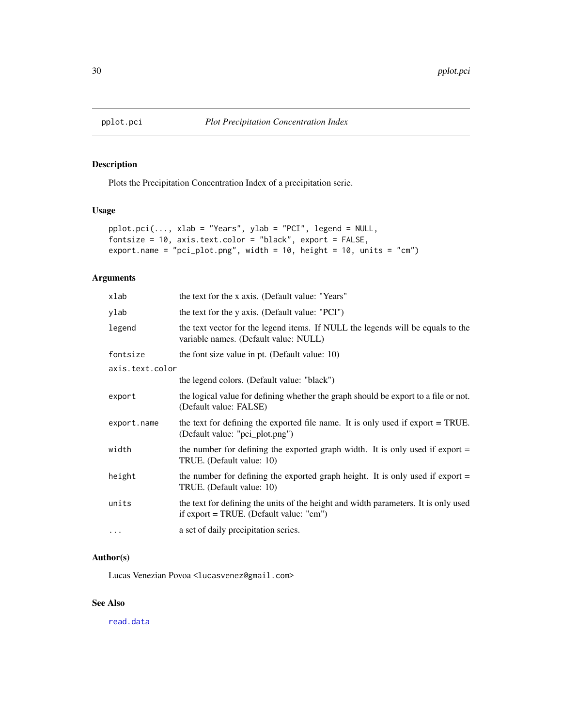<span id="page-29-1"></span><span id="page-29-0"></span>

Plots the Precipitation Concentration Index of a precipitation serie.

#### Usage

```
pplot.pci(..., xlab = "Years", ylab = "PCI", legend = NULL,fontsize = 10, axis.text.color = "black", export = FALSE,
export.name = "pci_plot.png", width = 10, height = 10, units = "cm")
```
# Arguments

| xlab            | the text for the x axis. (Default value: "Years"                                                                                                |
|-----------------|-------------------------------------------------------------------------------------------------------------------------------------------------|
| ylab            | the text for the y axis. (Default value: "PCI")                                                                                                 |
| legend          | the text vector for the legend items. If NULL the legends will be equals to the<br>variable names. (Default value: NULL)                        |
| fontsize        | the font size value in pt. (Default value: 10)                                                                                                  |
| axis.text.color |                                                                                                                                                 |
|                 | the legend colors. (Default value: "black")                                                                                                     |
| export          | the logical value for defining whether the graph should be export to a file or not.<br>(Default value: FALSE)                                   |
| export.name     | the text for defining the exported file name. It is only used if export $=$ TRUE.<br>(Default value: "pci_plot.png")                            |
| width           | the number for defining the exported graph width. It is only used if export $=$<br>TRUE. (Default value: 10)                                    |
| height          | the number for defining the exported graph height. It is only used if export $=$<br>TRUE. (Default value: 10)                                   |
| units           | the text for defining the units of the height and width parameters. It is only used<br>if $\text{export} = \text{TRUE}$ . (Default value: "cm") |
| $\cdots$        | a set of daily precipitation series.                                                                                                            |

# Author(s)

Lucas Venezian Povoa <lucasvenez@gmail.com>

# See Also

[read.data](#page-37-1)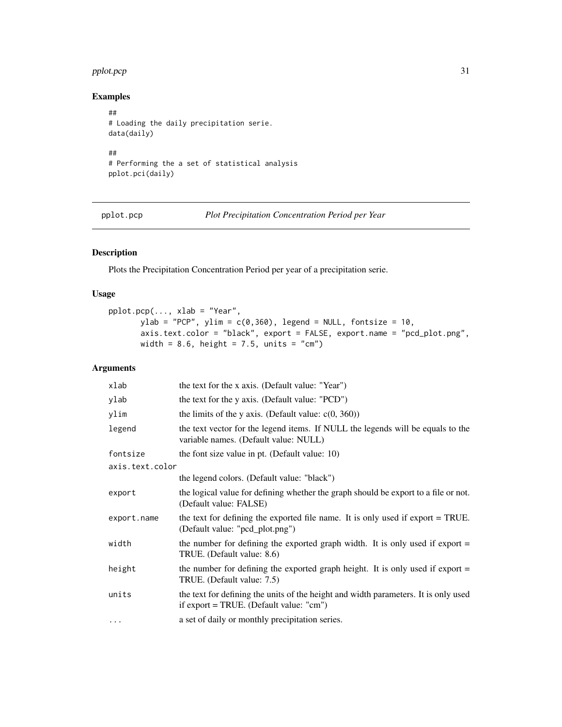#### <span id="page-30-0"></span>pplot.pcp 31

# Examples

```
##
# Loading the daily precipitation serie.
data(daily)
##
# Performing the a set of statistical analysis
pplot.pci(daily)
```
<span id="page-30-1"></span>pplot.pcp *Plot Precipitation Concentration Period per Year*

# Description

Plots the Precipitation Concentration Period per year of a precipitation serie.

# Usage

```
pplot.pcp(..., xlab = "Year",
      ylab = "PCP", ylim = c(0,360), legend = NULL, fontsize = 10,
      axis.text.color = "black", export = FALSE, export.name = "pcd_plot.png",
      width = 8.6, height = 7.5, units = "cm")
```
# Arguments

| xlab            | the text for the x axis. (Default value: "Year")                                                                                                |
|-----------------|-------------------------------------------------------------------------------------------------------------------------------------------------|
| ylab            | the text for the y axis. (Default value: "PCD")                                                                                                 |
| ylim            | the limits of the y axis. (Default value: $c(0, 360)$ )                                                                                         |
| legend          | the text vector for the legend items. If NULL the legends will be equals to the<br>variable names. (Default value: NULL)                        |
| fontsize        | the font size value in pt. (Default value: 10)                                                                                                  |
| axis.text.color |                                                                                                                                                 |
|                 | the legend colors. (Default value: "black")                                                                                                     |
| export          | the logical value for defining whether the graph should be export to a file or not.<br>(Default value: FALSE)                                   |
| export.name     | the text for defining the exported file name. It is only used if export = TRUE.<br>(Default value: "pcd_plot.png")                              |
| width           | the number for defining the exported graph width. It is only used if export $=$<br>TRUE. (Default value: 8.6)                                   |
| height          | the number for defining the exported graph height. It is only used if export $=$<br>TRUE. (Default value: 7.5)                                  |
| units           | the text for defining the units of the height and width parameters. It is only used<br>if $\text{export} = \text{TRUE}$ . (Default value: "cm") |
| $\cdots$        | a set of daily or monthly precipitation series.                                                                                                 |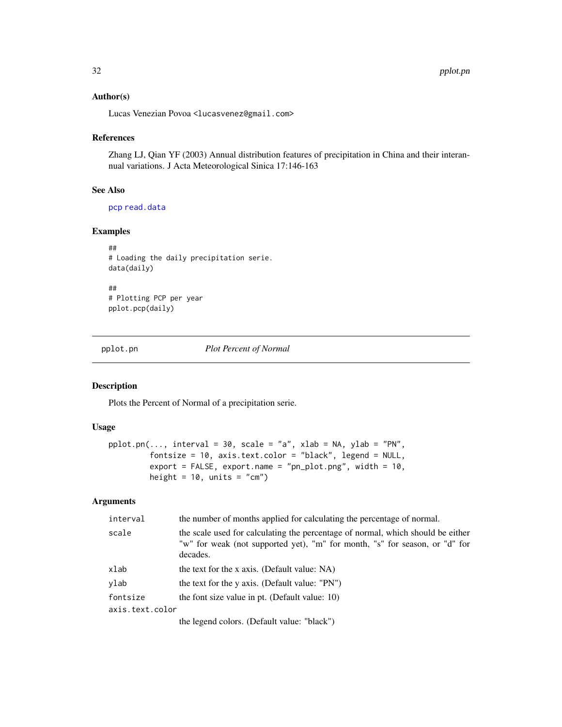#### <span id="page-31-0"></span>Author(s)

Lucas Venezian Povoa <lucasvenez@gmail.com>

#### References

Zhang LJ, Qian YF (2003) Annual distribution features of precipitation in China and their interannual variations. J Acta Meteorological Sinica 17:146-163

# See Also

[pcp](#page-22-1) [read.data](#page-37-1)

# Examples

```
##
# Loading the daily precipitation serie.
data(daily)
##
# Plotting PCP per year
pplot.pcp(daily)
```
<span id="page-31-1"></span>pplot.pn *Plot Percent of Normal*

# Description

Plots the Percent of Normal of a precipitation serie.

#### Usage

```
pplot.pn(..., interval = 30, scale = "a", xlab = NA, ylab = "PN",fontsize = 10, axis.text.color = "black", legend = NULL,
         export = FALSE, export.name = "pn_plot.png", width = 10,
         height = 10, units = "cm")
```
# Arguments

| interval        | the number of months applied for calculating the percentage of normal.                                                                                                     |
|-----------------|----------------------------------------------------------------------------------------------------------------------------------------------------------------------------|
| scale           | the scale used for calculating the percentage of normal, which should be either<br>"w" for weak (not supported yet), "m" for month, "s" for season, or "d" for<br>decades. |
| xlab            | the text for the x axis. (Default value: NA)                                                                                                                               |
| ylab            | the text for the y axis. (Default value: "PN")                                                                                                                             |
| fontsize        | the font size value in pt. (Default value: 10)                                                                                                                             |
| axis.text.color |                                                                                                                                                                            |
|                 | the legend colors. (Default value: "black")                                                                                                                                |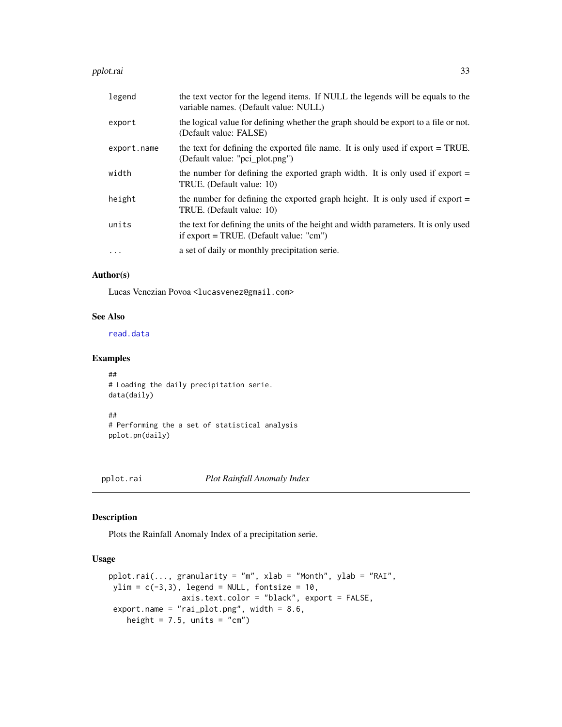#### <span id="page-32-0"></span>pplot.rai 33

| legend      | the text vector for the legend items. If NULL the legends will be equals to the<br>variable names. (Default value: NULL)       |
|-------------|--------------------------------------------------------------------------------------------------------------------------------|
| export      | the logical value for defining whether the graph should be export to a file or not.<br>(Default value: FALSE)                  |
| export.name | the text for defining the exported file name. It is only used if export = TRUE.<br>(Default value: "pci_plot.png")             |
| width       | the number for defining the exported graph width. It is only used if export $=$<br>TRUE. (Default value: 10)                   |
| height      | the number for defining the exported graph height. It is only used if export $=$<br>TRUE. (Default value: 10)                  |
| units       | the text for defining the units of the height and width parameters. It is only used<br>if export = TRUE. (Default value: "cm") |
| $\cdots$    | a set of daily or monthly precipitation serie.                                                                                 |

# Author(s)

Lucas Venezian Povoa <lucasvenez@gmail.com>

#### See Also

[read.data](#page-37-1)

#### Examples

## # Loading the daily precipitation serie. data(daily) ##

# Performing the a set of statistical analysis pplot.pn(daily)

<span id="page-32-1"></span>

pplot.rai *Plot Rainfall Anomaly Index*

#### Description

Plots the Rainfall Anomaly Index of a precipitation serie.

#### Usage

```
pplot.rai(..., granularity = "m", xlab = "Month", ylab = "RAL",ylim = c(-3,3), legend = NULL, fontsize = 10,
               axis.text.color = "black", export = FALSE,
export.name = "rai_plot.png", width = 8.6,
   height = 7.5, units = "cm")
```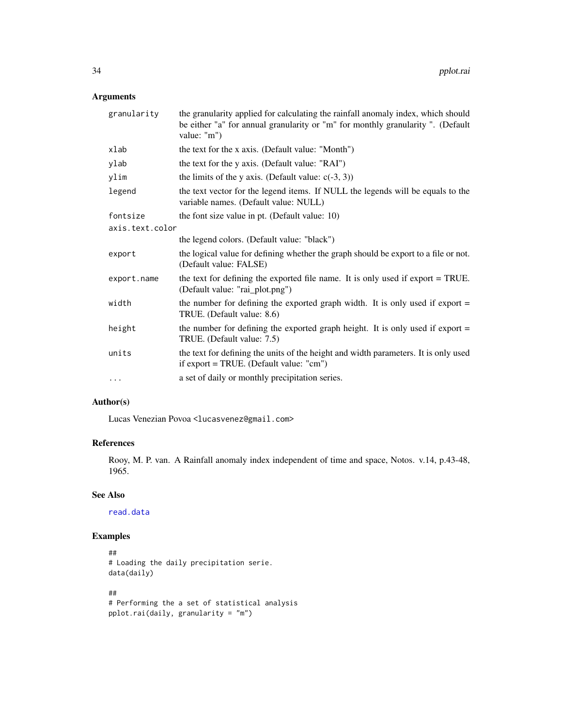# <span id="page-33-0"></span>Arguments

| granularity     | the granularity applied for calculating the rainfall anomaly index, which should<br>be either "a" for annual granularity or "m" for monthly granularity ". (Default<br>value: "m") |
|-----------------|------------------------------------------------------------------------------------------------------------------------------------------------------------------------------------|
| xlab            | the text for the x axis. (Default value: "Month")                                                                                                                                  |
| ylab            | the text for the y axis. (Default value: "RAI")                                                                                                                                    |
| ylim            | the limits of the y axis. (Default value: $c(-3, 3)$ )                                                                                                                             |
| legend          | the text vector for the legend items. If NULL the legends will be equals to the<br>variable names. (Default value: NULL)                                                           |
| fontsize        | the font size value in pt. (Default value: 10)                                                                                                                                     |
| axis.text.color |                                                                                                                                                                                    |
|                 | the legend colors. (Default value: "black")                                                                                                                                        |
| export          | the logical value for defining whether the graph should be export to a file or not.<br>(Default value: FALSE)                                                                      |
| export.name     | the text for defining the exported file name. It is only used if export = TRUE.<br>(Default value: "rai_plot.png")                                                                 |
| width           | the number for defining the exported graph width. It is only used if export $=$<br>TRUE. (Default value: 8.6)                                                                      |
| height          | the number for defining the exported graph height. It is only used if export $=$<br>TRUE. (Default value: 7.5)                                                                     |
| units           | the text for defining the units of the height and width parameters. It is only used<br>if $\text{export} = \text{TRUE}$ . (Default value: "cm")                                    |
| $\cdots$        | a set of daily or monthly precipitation series.                                                                                                                                    |

# Author(s)

Lucas Venezian Povoa <lucasvenez@gmail.com>

#### References

Rooy, M. P. van. A Rainfall anomaly index independent of time and space, Notos. v.14, p.43-48, 1965.

# See Also

[read.data](#page-37-1)

```
##
# Loading the daily precipitation serie.
data(daily)
##
# Performing the a set of statistical analysis
pplot.rai(daily, granularity = "m")
```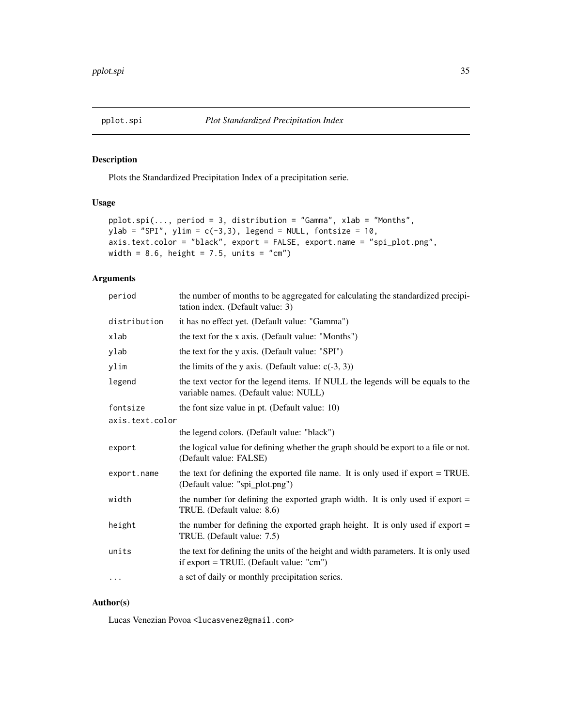<span id="page-34-1"></span><span id="page-34-0"></span>

Plots the Standardized Precipitation Index of a precipitation serie.

# Usage

```
pplot.spi(..., period = 3, distribution = "Gamma", xlab = "Months",
ylab = "SPI", ylim = c(-3,3), legend = NULL, fontsize = 10,
axis.text.color = "black", export = FALSE, export.name = "spi_plot.png",
width = 8.6, height = 7.5, units = "cm")
```
# Arguments

| period          | the number of months to be aggregated for calculating the standardized precipi-<br>tation index. (Default value: 3)                             |
|-----------------|-------------------------------------------------------------------------------------------------------------------------------------------------|
| distribution    | it has no effect yet. (Default value: "Gamma")                                                                                                  |
| xlab            | the text for the x axis. (Default value: "Months")                                                                                              |
| ylab            | the text for the y axis. (Default value: "SPI")                                                                                                 |
| ylim            | the limits of the y axis. (Default value: $c(-3, 3)$ )                                                                                          |
| legend          | the text vector for the legend items. If NULL the legends will be equals to the<br>variable names. (Default value: NULL)                        |
| fontsize        | the font size value in pt. (Default value: 10)                                                                                                  |
| axis.text.color |                                                                                                                                                 |
|                 | the legend colors. (Default value: "black")                                                                                                     |
| export          | the logical value for defining whether the graph should be export to a file or not.<br>(Default value: FALSE)                                   |
| export.name     | the text for defining the exported file name. It is only used if export = TRUE.<br>(Default value: "spi_plot.png")                              |
| width           | the number for defining the exported graph width. It is only used if export $=$<br>TRUE. (Default value: 8.6)                                   |
| height          | the number for defining the exported graph height. It is only used if export $=$<br>TRUE. (Default value: 7.5)                                  |
| units           | the text for defining the units of the height and width parameters. It is only used<br>if $\text{export} = \text{TRUE}$ . (Default value: "cm") |
| $\cdots$        | a set of daily or monthly precipitation series.                                                                                                 |
|                 |                                                                                                                                                 |

# Author(s)

Lucas Venezian Povoa <lucasvenez@gmail.com>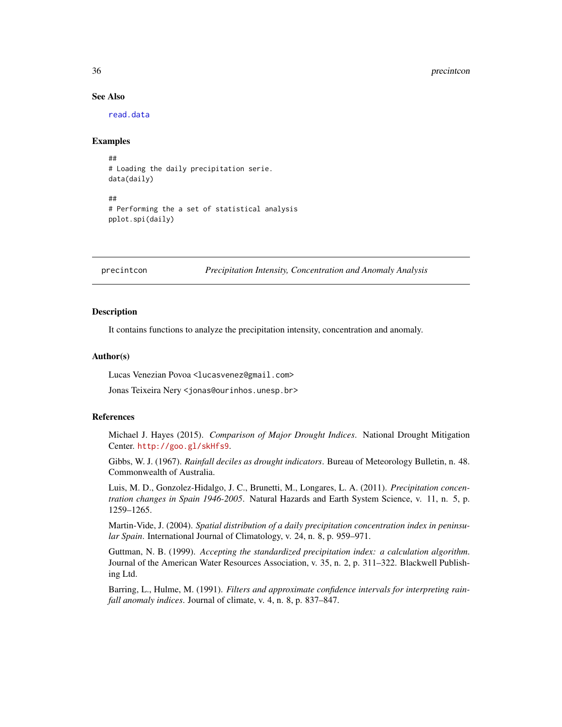#### See Also

[read.data](#page-37-1)

#### Examples

```
##
# Loading the daily precipitation serie.
data(daily)
##
# Performing the a set of statistical analysis
pplot.spi(daily)
```
precintcon *Precipitation Intensity, Concentration and Anomaly Analysis*

#### Description

It contains functions to analyze the precipitation intensity, concentration and anomaly.

#### Author(s)

Lucas Venezian Povoa <lucasvenez@gmail.com>

Jonas Teixeira Nery <jonas@ourinhos.unesp.br>

#### References

Michael J. Hayes (2015). *Comparison of Major Drought Indices*. National Drought Mitigation Center. <http://goo.gl/skHfs9>.

Gibbs, W. J. (1967). *Rainfall deciles as drought indicators*. Bureau of Meteorology Bulletin, n. 48. Commonwealth of Australia.

Luis, M. D., Gonzolez-Hidalgo, J. C., Brunetti, M., Longares, L. A. (2011). *Precipitation concentration changes in Spain 1946-2005*. Natural Hazards and Earth System Science, v. 11, n. 5, p. 1259–1265.

Martin-Vide, J. (2004). *Spatial distribution of a daily precipitation concentration index in peninsular Spain*. International Journal of Climatology, v. 24, n. 8, p. 959–971.

Guttman, N. B. (1999). *Accepting the standardized precipitation index: a calculation algorithm*. Journal of the American Water Resources Association, v. 35, n. 2, p. 311–322. Blackwell Publishing Ltd.

Barring, L., Hulme, M. (1991). *Filters and approximate confidence intervals for interpreting rainfall anomaly indices*. Journal of climate, v. 4, n. 8, p. 837–847.

<span id="page-35-0"></span>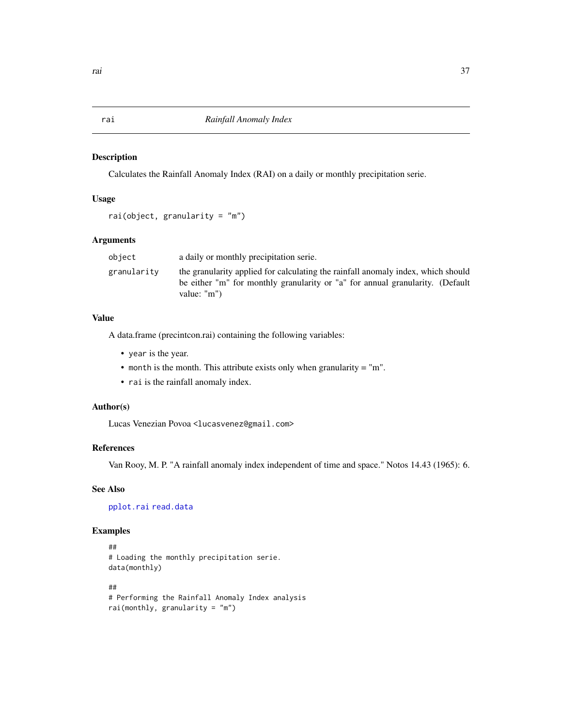<span id="page-36-0"></span>Calculates the Rainfall Anomaly Index (RAI) on a daily or monthly precipitation serie.

#### Usage

```
rai(object, granularity = "m")
```
#### Arguments

| object      | a daily or monthly precipitation serie.                                                                                                                                                  |
|-------------|------------------------------------------------------------------------------------------------------------------------------------------------------------------------------------------|
| granularitv | the granularity applied for calculating the rainfall anomaly index, which should<br>be either "m" for monthly granularity or "a" for annual granularity. (Default<br>value: $\text{"m"}$ |

# Value

A data.frame (precintcon.rai) containing the following variables:

- year is the year.
- month is the month. This attribute exists only when granularity = "m".
- rai is the rainfall anomaly index.

#### Author(s)

Lucas Venezian Povoa <lucasvenez@gmail.com>

#### References

Van Rooy, M. P. "A rainfall anomaly index independent of time and space." Notos 14.43 (1965): 6.

# See Also

[pplot.rai](#page-32-1) [read.data](#page-37-1)

```
##
# Loading the monthly precipitation serie.
data(monthly)
##
# Performing the Rainfall Anomaly Index analysis
rai(monthly, granularity = "m")
```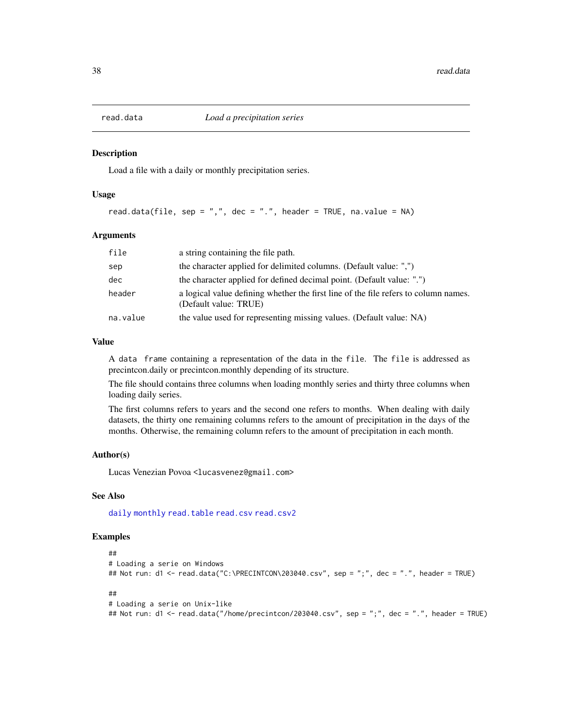<span id="page-37-1"></span><span id="page-37-0"></span>

Load a file with a daily or monthly precipitation series.

#### Usage

read.data(file, sep = ",", dec = ".", header = TRUE, na.value = NA)

#### Arguments

| file     | a string containing the file path.                                                                           |
|----------|--------------------------------------------------------------------------------------------------------------|
| sep      | the character applied for delimited columns. (Default value: ",")                                            |
| dec      | the character applied for defined decimal point. (Default value: ".")                                        |
| header   | a logical value defining whether the first line of the file refers to column names.<br>(Default value: TRUE) |
| na.value | the value used for representing missing values. (Default value: NA)                                          |

#### Value

A data frame containing a representation of the data in the file. The file is addressed as precintcon.daily or precintcon.monthly depending of its structure.

The file should contains three columns when loading monthly series and thirty three columns when loading daily series.

The first columns refers to years and the second one refers to months. When dealing with daily datasets, the thirty one remaining columns refers to the amount of precipitation in the days of the months. Otherwise, the remaining column refers to the amount of precipitation in each month.

#### Author(s)

Lucas Venezian Povoa <lucasvenez@gmail.com>

#### See Also

[daily](#page-14-1) [monthly](#page-17-1) [read.table](#page-0-0) [read.csv](#page-0-0) [read.csv2](#page-0-0)

```
##
# Loading a serie on Windows
## Not run: d1 <- read.data("C:\PRECINTCON\203040.csv", sep = ";", dec = ".", header = TRUE)
##
# Loading a serie on Unix-like
## Not run: d1 <- read.data("/home/precintcon/203040.csv", sep = ";", dec = ".", header = TRUE)
```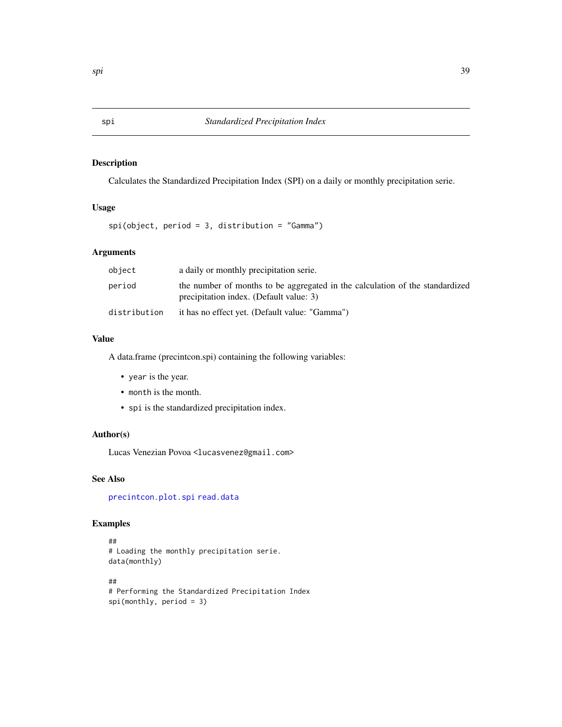<span id="page-38-1"></span><span id="page-38-0"></span>Calculates the Standardized Precipitation Index (SPI) on a daily or monthly precipitation serie.

# Usage

spi(object, period = 3, distribution = "Gamma")

# Arguments

| object       | a daily or monthly precipitation serie.                                                                                 |
|--------------|-------------------------------------------------------------------------------------------------------------------------|
| period       | the number of months to be aggregated in the calculation of the standardized<br>precipitation index. (Default value: 3) |
| distribution | it has no effect yet. (Default value: "Gamma")                                                                          |

# Value

A data.frame (precintcon.spi) containing the following variables:

- year is the year.
- month is the month.
- spi is the standardized precipitation index.

# Author(s)

Lucas Venezian Povoa <lucasvenez@gmail.com>

# See Also

[precintcon.plot.spi](#page-34-1) [read.data](#page-37-1)

```
##
# Loading the monthly precipitation serie.
data(monthly)
##
# Performing the Standardized Precipitation Index
spi(monthly, period = 3)
```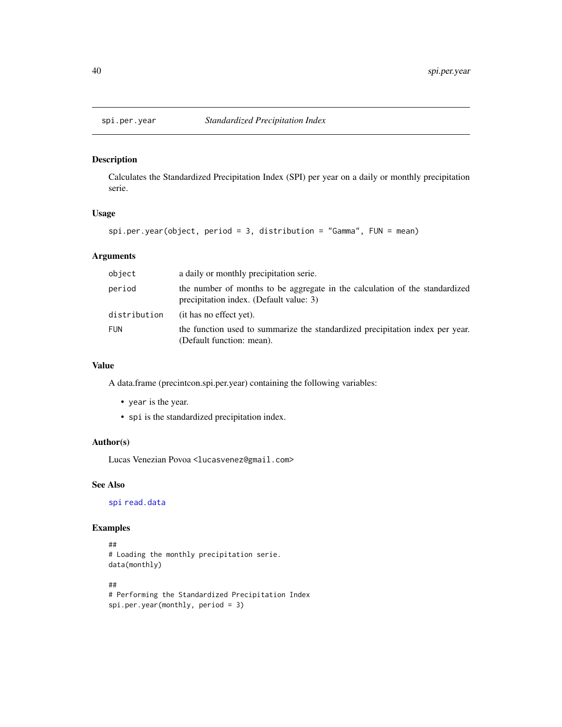<span id="page-39-0"></span>

Calculates the Standardized Precipitation Index (SPI) per year on a daily or monthly precipitation serie.

#### Usage

```
spi.per.year(object, period = 3, distribution = "Gamma", FUN = mean)
```
# Arguments

| object       | a daily or monthly precipitation serie.                                                                                |
|--------------|------------------------------------------------------------------------------------------------------------------------|
| period       | the number of months to be aggregate in the calculation of the standardized<br>precipitation index. (Default value: 3) |
| distribution | (it has no effect yet).                                                                                                |
| <b>FUN</b>   | the function used to summarize the standardized precipitation index per year.<br>(Default function: mean).             |

# Value

A data.frame (precintcon.spi.per.year) containing the following variables:

- year is the year.
- spi is the standardized precipitation index.

#### Author(s)

Lucas Venezian Povoa <lucasvenez@gmail.com>

# See Also

[spi](#page-38-1) [read.data](#page-37-1)

```
##
# Loading the monthly precipitation serie.
data(monthly)
##
```

```
# Performing the Standardized Precipitation Index
spi.per.year(monthly, period = 3)
```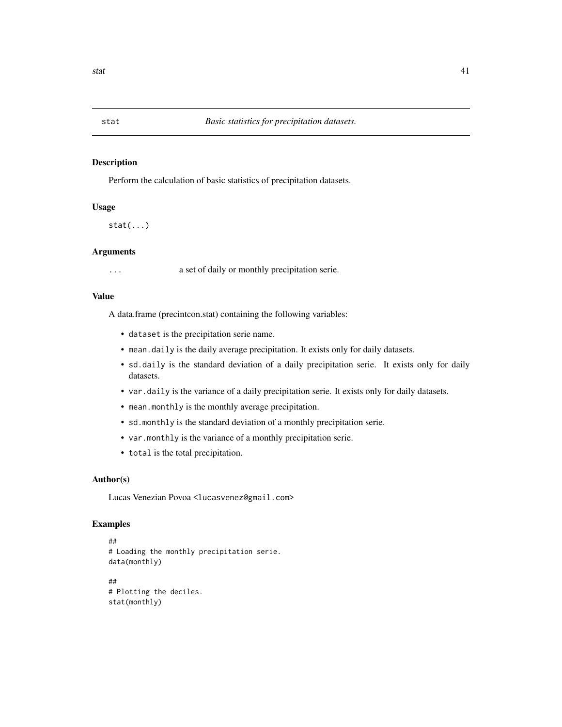<span id="page-40-0"></span>

Perform the calculation of basic statistics of precipitation datasets.

# Usage

 $stat(...)$ 

#### Arguments

... a set of daily or monthly precipitation serie.

#### Value

A data.frame (precintcon.stat) containing the following variables:

- dataset is the precipitation serie name.
- mean.daily is the daily average precipitation. It exists only for daily datasets.
- sd.daily is the standard deviation of a daily precipitation serie. It exists only for daily datasets.
- var.daily is the variance of a daily precipitation serie. It exists only for daily datasets.
- mean.monthly is the monthly average precipitation.
- sd.monthly is the standard deviation of a monthly precipitation serie.
- var.monthly is the variance of a monthly precipitation serie.
- total is the total precipitation.

#### Author(s)

Lucas Venezian Povoa <lucasvenez@gmail.com>

```
##
# Loading the monthly precipitation serie.
data(monthly)
##
# Plotting the deciles.
stat(monthly)
```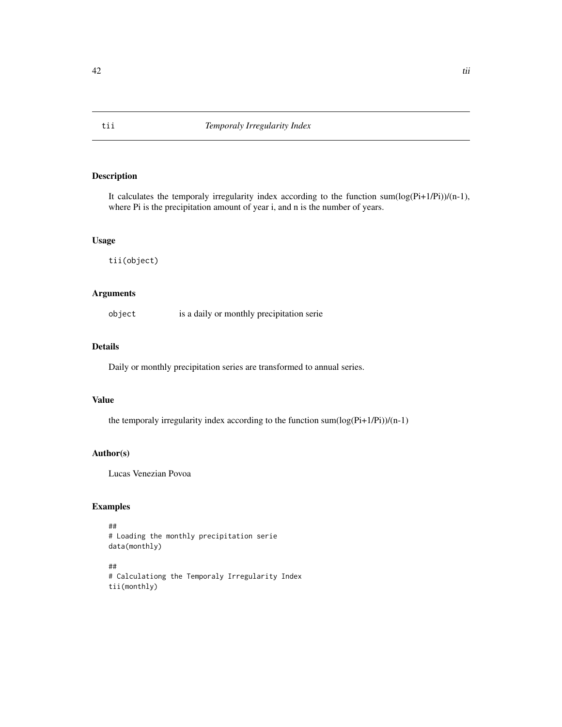It calculates the temporaly irregularity index according to the function sum(log(Pi+1/Pi))/(n-1), where Pi is the precipitation amount of year i, and n is the number of years.

#### Usage

tii(object)

# Arguments

object is a daily or monthly precipitation serie

#### Details

Daily or monthly precipitation series are transformed to annual series.

#### Value

the temporaly irregularity index according to the function sum(log(Pi+1/Pi))/(n-1)

#### Author(s)

Lucas Venezian Povoa

```
##
# Loading the monthly precipitation serie
data(monthly)
```

```
##
# Calculationg the Temporaly Irregularity Index
tii(monthly)
```
<span id="page-41-0"></span>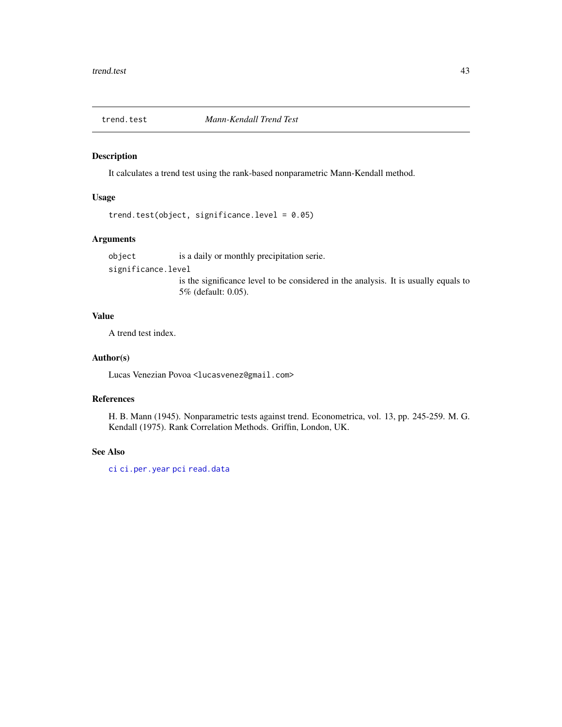<span id="page-42-0"></span>

It calculates a trend test using the rank-based nonparametric Mann-Kendall method.

# Usage

```
trend.test(object, significance.level = 0.05)
```
# Arguments

object is a daily or monthly precipitation serie. significance.level is the significance level to be considered in the analysis. It is usually equals to 5% (default: 0.05).

#### Value

A trend test index.

#### Author(s)

Lucas Venezian Povoa <lucasvenez@gmail.com>

# References

H. B. Mann (1945). Nonparametric tests against trend. Econometrica, vol. 13, pp. 245-259. M. G. Kendall (1975). Rank Correlation Methods. Griffin, London, UK.

#### See Also

[ci](#page-11-1) [ci.per.year](#page-12-1) [pci](#page-19-1) [read.data](#page-37-1)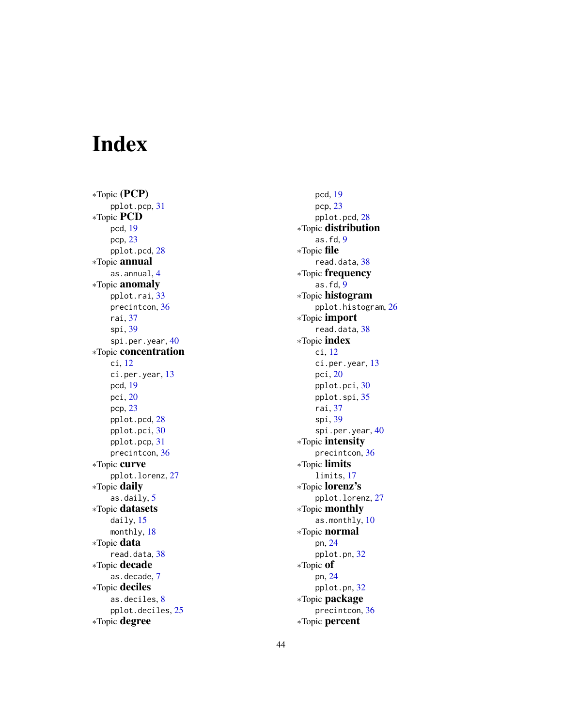# <span id="page-43-0"></span>Index

∗Topic (PCP) pplot.pcp , [31](#page-30-0) ∗Topic PCD pcd , [19](#page-18-0) pcp , [23](#page-22-0) pplot.pcd , [28](#page-27-0) ∗Topic annual as.annual, [4](#page-3-0) ∗Topic anomaly pplot.rai , [33](#page-32-0) precintcon , [36](#page-35-0) rai , [37](#page-36-0) spi , [39](#page-38-0) spi.per.year , [40](#page-39-0) ∗Topic concentration ci , [12](#page-11-0) ci.per.year , [13](#page-12-0) pcd , [19](#page-18-0) pci , [20](#page-19-0) pcp , [23](#page-22-0) pplot.pcd , [28](#page-27-0) pplot.pci , [30](#page-29-0) pplot.pcp , [31](#page-30-0) precintcon , [36](#page-35-0) ∗Topic curve pplot.lorenz , [27](#page-26-0) ∗Topic daily as.daily , [5](#page-4-0) ∗Topic datasets daily , [15](#page-14-0) monthly , [18](#page-17-0) ∗Topic data read.data, [38](#page-37-0) ∗Topic decade as.decade , [7](#page-6-0) ∗Topic deciles as.deciles, [8](#page-7-0) pplot.deciles , [25](#page-24-0) ∗Topic degree

pcd , [19](#page-18-0) pcp , [23](#page-22-0) pplot.pcd , [28](#page-27-0) ∗Topic distribution as.fd, [9](#page-8-0) ∗Topic file read.data, [38](#page-37-0) ∗Topic frequency as.fd, [9](#page-8-0) ∗Topic histogram pplot.histogram , [26](#page-25-0) ∗Topic import read.data, [38](#page-37-0) ∗Topic index ci , [12](#page-11-0) ci.per.year, [13](#page-12-0) pci , [20](#page-19-0) pplot.pci , [30](#page-29-0) pplot.spi , [35](#page-34-0) rai , [37](#page-36-0) spi , [39](#page-38-0) spi.per.year, [40](#page-39-0) ∗Topic intensity precintcon , [36](#page-35-0) ∗Topic limits limits , [17](#page-16-0) ∗Topic lorenz's pplot.lorenz , [27](#page-26-0) ∗Topic monthly as.monthly, [10](#page-9-0) ∗Topic normal pn , [24](#page-23-0) pplot.pn , [32](#page-31-0) ∗Topic of pn , [24](#page-23-0) pplot.pn , [32](#page-31-0) ∗Topic package precintcon , [36](#page-35-0) ∗Topic percent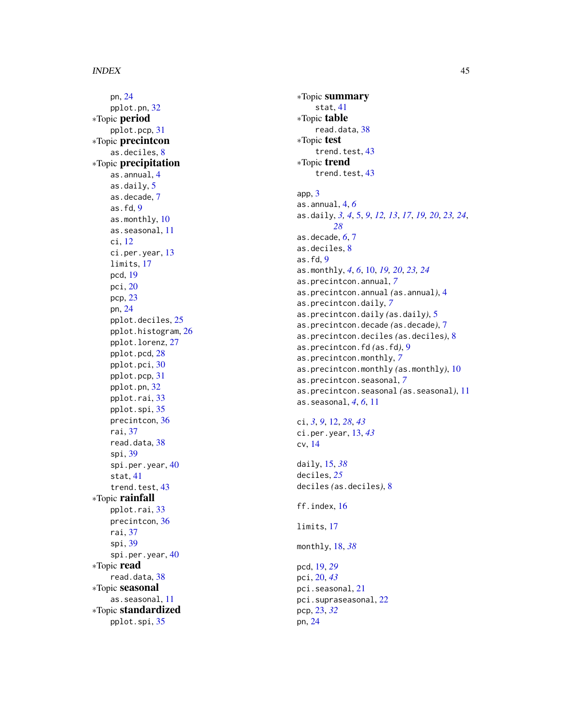pn , [24](#page-23-0) pplot.pn , [32](#page-31-0) ∗Topic period pplot.pcp , [31](#page-30-0) ∗Topic precintcon as.deciles, [8](#page-7-0) ∗Topic precipitation as.annual , [4](#page-3-0) as.daily , [5](#page-4-0) as.decade , [7](#page-6-0) as.fd, [9](#page-8-0) as.monthly, [10](#page-9-0) as.seasonal , [11](#page-10-0) ci , [12](#page-11-0) ci.per.year , [13](#page-12-0) limits , [17](#page-16-0) pcd , [19](#page-18-0) pci , [20](#page-19-0) pcp , [23](#page-22-0) pn , [24](#page-23-0) pplot.deciles , [25](#page-24-0) pplot.histogram , [26](#page-25-0) pplot.lorenz , [27](#page-26-0) pplot.pcd , [28](#page-27-0) pplot.pci , [30](#page-29-0) pplot.pcp , [31](#page-30-0) pplot.pn , [32](#page-31-0) pplot.rai , [33](#page-32-0) pplot.spi , [35](#page-34-0) precintcon , [36](#page-35-0) rai , [37](#page-36-0) read.data, [38](#page-37-0) spi , [39](#page-38-0) spi.per.year, [40](#page-39-0) stat , [41](#page-40-0) trend.test, [43](#page-42-0) ∗Topic rainfall pplot.rai , [33](#page-32-0) precintcon , [36](#page-35-0) rai , [37](#page-36-0) spi , [39](#page-38-0) spi.per.year , [40](#page-39-0) ∗Topic read read.data, [38](#page-37-0) ∗Topic seasonal as.seasonal , [11](#page-10-0) ∗Topic standardized pplot.spi , [35](#page-34-0)

∗Topic summary stat , [41](#page-40-0) ∗Topic table read.data, [38](#page-37-0) ∗Topic test trend.test, [43](#page-42-0) ∗Topic trend trend.test, [43](#page-42-0) app , [3](#page-2-0) as.annual , [4](#page-3-0) , *[6](#page-5-0)* as.daily, [3](#page-2-0), [4](#page-3-0), [5](#page-4-0), [9](#page-8-0), [12](#page-11-0), [13](#page-12-0), [17](#page-16-0), [19](#page-18-0), [20](#page-19-0), [23](#page-22-0), [24](#page-23-0), *[28](#page-27-0)* as.decade , *[6](#page-5-0)* , [7](#page-6-0) as.deciles, <mark>[8](#page-7-0)</mark> as.fd, [9](#page-8-0) as.monthly , *[4](#page-3-0)* , *[6](#page-5-0)* , [10](#page-9-0) , *[19](#page-18-0) , [20](#page-19-0)* , *[23](#page-22-0) , [24](#page-23-0)* as.precintcon.annual , *[7](#page-6-0)* as.precintcon.annual *(*as.annual *)* , [4](#page-3-0) as.precintcon.daily , *[7](#page-6-0)* as.precintcon.daily *(*as.daily *)* , [5](#page-4-0) as.precintcon.decade *(*as.decade *)* , [7](#page-6-0) as.precintcon.deciles *(*as.deciles *)* , [8](#page-7-0) as.precintcon.fd *(*as.fd *)* , [9](#page-8-0) as.precintcon.monthly , *[7](#page-6-0)* as.precintcon.monthly *(*as.monthly *)* , [10](#page-9-0) as.precintcon.seasonal , *[7](#page-6-0)* as.precintcon.seasonal *(*as.seasonal *)* , [11](#page-10-0) as.seasonal , *[4](#page-3-0)* , *[6](#page-5-0)* , [11](#page-10-0) ci , *[3](#page-2-0)* , *[9](#page-8-0)* , [12](#page-11-0) , *[28](#page-27-0)* , *[43](#page-42-0)* ci.per.year , [13](#page-12-0) , *[43](#page-42-0)* cv , [14](#page-13-0) daily , [15](#page-14-0) , *[38](#page-37-0)* deciles , *[25](#page-24-0)* deciles *(*as.deciles *)* , [8](#page-7-0) ff.index , [16](#page-15-0) limits , [17](#page-16-0) monthly , [18](#page-17-0) , *[38](#page-37-0)* pcd , [19](#page-18-0) , *[29](#page-28-0)*

pci , [20](#page-19-0) , *[43](#page-42-0)* pci.seasonal , [21](#page-20-0) pci.supraseasonal , [22](#page-21-0) pcp , [23](#page-22-0) , *[32](#page-31-0)* pn , [24](#page-23-0)